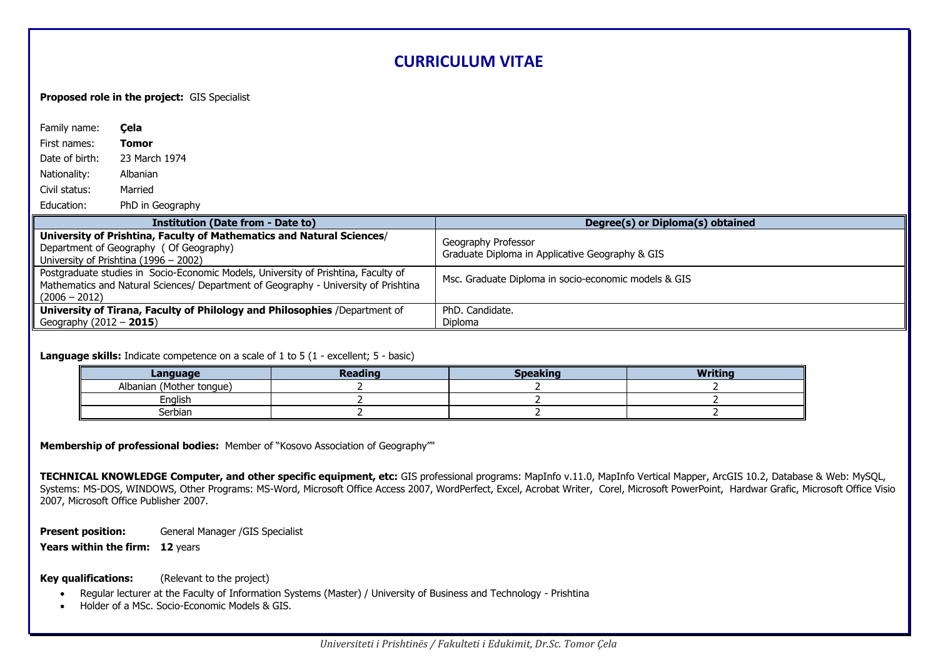# **CURRICULUM VITAE**

**Proposed role in the project:** GIS Specialist

| Family name:              | Cela                                                                                                                                                                      |                                                                        |
|---------------------------|---------------------------------------------------------------------------------------------------------------------------------------------------------------------------|------------------------------------------------------------------------|
| First names:              | Tomor                                                                                                                                                                     |                                                                        |
| Date of birth:            | 23 March 1974                                                                                                                                                             |                                                                        |
| Nationality:              | Albanian                                                                                                                                                                  |                                                                        |
| Civil status:             | Married                                                                                                                                                                   |                                                                        |
| Education:                | PhD in Geography                                                                                                                                                          |                                                                        |
|                           | <b>Institution (Date from - Date to)</b>                                                                                                                                  | Degree(s) or Diploma(s) obtained                                       |
|                           | University of Prishtina, Faculty of Mathematics and Natural Sciences/<br>Department of Geography (Of Geography)<br>University of Prishtina (1996 – 2002)                  | Geography Professor<br>Graduate Diploma in Applicative Geography & GIS |
| $(2006 - 2012)$           | Postgraduate studies in Socio-Economic Models, University of Prishtina, Faculty of<br>Mathematics and Natural Sciences/ Department of Geography - University of Prishtina | Msc. Graduate Diploma in socio-economic models & GIS                   |
|                           | University of Tirana, Faculty of Philology and Philosophies /Department of                                                                                                | PhD. Candidate.                                                        |
| Geography $(2012 - 2015)$ |                                                                                                                                                                           | Diploma                                                                |

## **Language skills:** Indicate competence on a scale of 1 to 5 (1 - excellent; 5 - basic)

| Language                 | <b>Reading</b> | Speaking | <b>Mritino</b> |
|--------------------------|----------------|----------|----------------|
| Albanian (Mother tongue) |                |          |                |
| English                  |                |          |                |
| Serbian                  |                |          |                |

**Membership of professional bodies:** Member of "Kosovo Association of Geography""

**TECHNICAL KNOWLEDGE Computer, and other specific equipment, etc:** GIS professional programs: MapInfo v.11.0, MapInfo Vertical Mapper, ArcGIS 10.2, Database & Web: MySQL, Systems: MS-DOS, WINDOWS, Other Programs: MS-Word, Microsoft Office Access 2007, WordPerfect, Excel, Acrobat Writer, Corel, Microsoft PowerPoint, Hardwar Grafic, Microsoft Office Visio 2007, Microsoft Office Publisher 2007.

**Present position:** General Manager /GIS Specialist

**Years within the firm: 12 years** 

## **Key qualifications:** (Relevant to the project)

- Regular lecturer at the Faculty of Information Systems (Master) / University of Business and Technology Prishtina
- Holder of a MSc. Socio-Economic Models & GIS.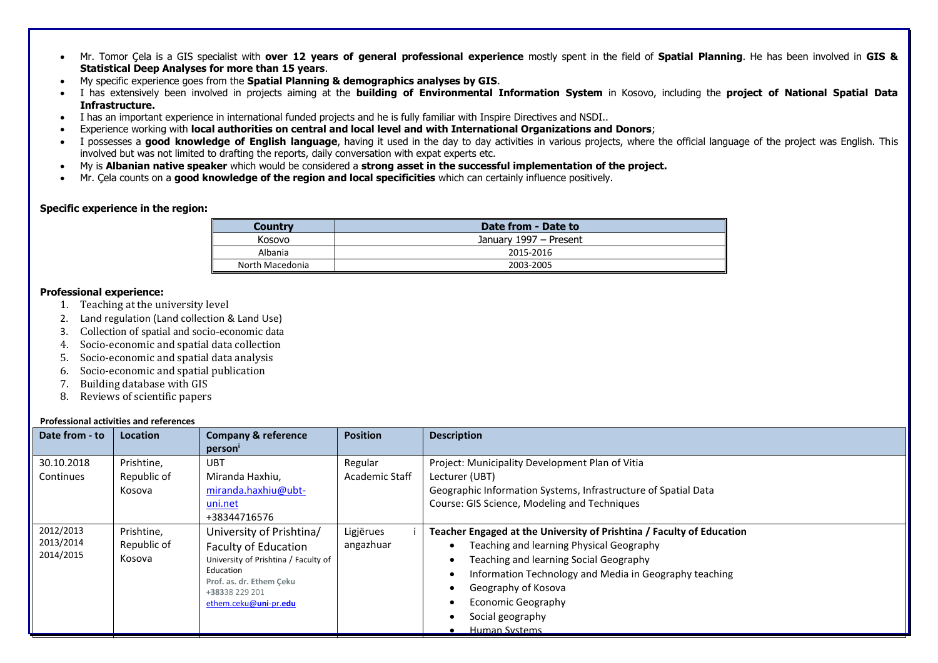- Mr. Tomor Çela is a GIS specialist with **over 12 years of general professional experience** mostly spent in the field of **Spatial Planning**. He has been involved in **GIS & Statistical Deep Analyses for more than 15 years**.
- My specific experience goes from the **Spatial Planning & demographics analyses by GIS**.
- I has extensively been involved in projects aiming at the **building of Environmental Information System** in Kosovo, including the **project of National Spatial Data Infrastructure.**
- I has an important experience in international funded projects and he is fully familiar with Inspire Directives and NSDI..
- Experience working with **local authorities on central and local level and with International Organizations and Donors**;
- I possesses a **good knowledge of English language**, having it used in the day to day activities in various projects, where the official language of the project was English. This involved but was not limited to drafting the reports, daily conversation with expat experts etc.
- My is **Albanian native speaker** which would be considered a **strong asset in the successful implementation of the project.**
- Mr. Çela counts on a **good knowledge of the region and local specificities** which can certainly influence positively.

#### **Specific experience in the region:**

| Country         | Date from - Date to    |
|-----------------|------------------------|
| Kosovo          | January 1997 - Present |
| Albania         | 2015-2016              |
| North Macedonia | 2003-2005              |

# **Professional experience:**

- 1. Teaching at the university level
- 2. Land regulation (Land collection & Land Use)
- 3. Collection of spatial and socio-economic data
- 4. Socio-economic and spatial data collection
- 5. Socio-economic and spatial data analysis
- 6. Socio-economic and spatial publication
- 7. Building database with GIS
- 8. Reviews of scientific papers

#### **Professional activities and references**

| Date from - to | . . טוכטטוטוומו מכנוסונוכט מוומ וכוכוכוונכט<br>Location | <b>Company &amp; reference</b>             | <b>Position</b> | <b>Description</b>                                                    |  |  |  |  |
|----------------|---------------------------------------------------------|--------------------------------------------|-----------------|-----------------------------------------------------------------------|--|--|--|--|
|                |                                                         | person'                                    |                 |                                                                       |  |  |  |  |
|                |                                                         | UBT                                        |                 |                                                                       |  |  |  |  |
| 30.10.2018     | Prishtine,                                              |                                            | Regular         | Project: Municipality Development Plan of Vitia                       |  |  |  |  |
| Continues      | Republic of                                             | Miranda Haxhiu,                            | Academic Staff  | Lecturer (UBT)                                                        |  |  |  |  |
|                | Kosova                                                  | miranda.haxhiu@ubt-                        |                 | Geographic Information Systems, Infrastructure of Spatial Data        |  |  |  |  |
|                |                                                         | uni.net                                    |                 | Course: GIS Science, Modeling and Techniques                          |  |  |  |  |
|                |                                                         | +38344716576                               |                 |                                                                       |  |  |  |  |
| 2012/2013      | Prishtine.                                              | University of Prishtina/                   | Ligjërues       | Teacher Engaged at the University of Prishtina / Faculty of Education |  |  |  |  |
| 2013/2014      | Republic of                                             | <b>Faculty of Education</b>                | angazhuar       | Teaching and learning Physical Geography                              |  |  |  |  |
| 2014/2015      | Kosova                                                  | University of Prishtina / Faculty of       |                 | Teaching and learning Social Geography                                |  |  |  |  |
|                |                                                         | Education                                  |                 | Information Technology and Media in Geography teaching                |  |  |  |  |
|                |                                                         | Prof. as. dr. Ethem Ceku<br>+38338 229 201 |                 | Geography of Kosova                                                   |  |  |  |  |
|                |                                                         | ethem.ceku@uni-pr.edu                      |                 | Economic Geography                                                    |  |  |  |  |
|                |                                                         |                                            |                 | Social geography                                                      |  |  |  |  |
|                |                                                         |                                            |                 | <b>Human Systems</b>                                                  |  |  |  |  |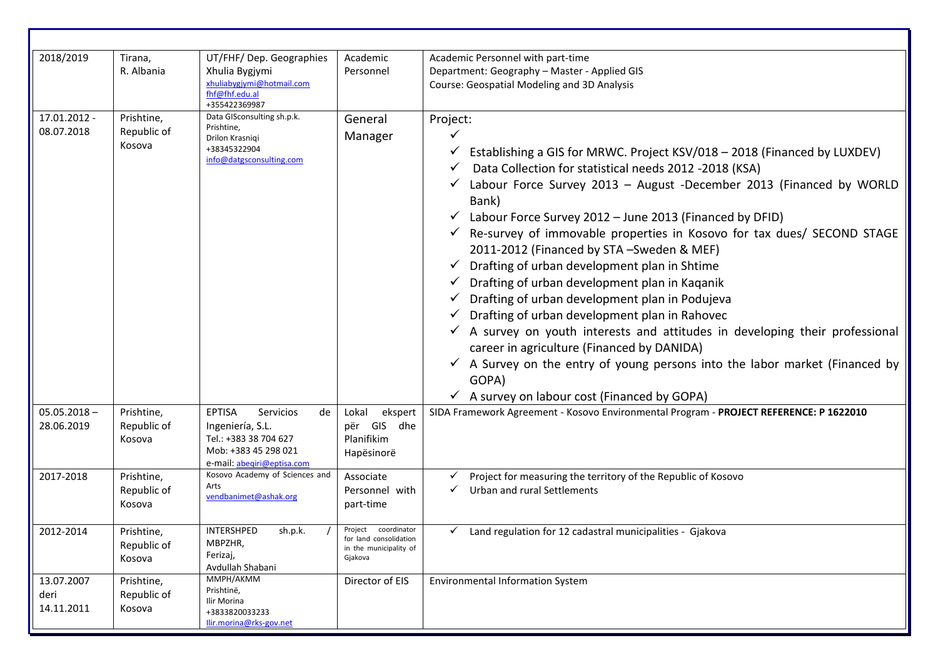| 2018/2019                        | Tirana,<br>R. Albania               | UT/FHF/ Dep. Geographies<br>Xhulia Bygjymi<br>xhuliabygjymi@hotmail.com<br>fhf@fhf.edu.al<br>+355422369987                          | Academic<br>Personnel                                                                 | Academic Personnel with part-time<br>Department: Geography - Master - Applied GIS<br>Course: Geospatial Modeling and 3D Analysis                                                                                                                                                                                                                                                                                                                                                                                                                                                                                                                                                                                                                                                                                                                                                                               |
|----------------------------------|-------------------------------------|-------------------------------------------------------------------------------------------------------------------------------------|---------------------------------------------------------------------------------------|----------------------------------------------------------------------------------------------------------------------------------------------------------------------------------------------------------------------------------------------------------------------------------------------------------------------------------------------------------------------------------------------------------------------------------------------------------------------------------------------------------------------------------------------------------------------------------------------------------------------------------------------------------------------------------------------------------------------------------------------------------------------------------------------------------------------------------------------------------------------------------------------------------------|
| 17.01.2012 -<br>08.07.2018       | Prishtine,<br>Republic of<br>Kosova | Data GISconsulting sh.p.k.<br>Prishtine,<br>Drilon Krasniqi<br>+38345322904<br>info@datgsconsulting.com                             | General<br>Manager                                                                    | Project:<br>Establishing a GIS for MRWC. Project KSV/018 - 2018 (Financed by LUXDEV)<br>Data Collection for statistical needs 2012 -2018 (KSA)<br>Labour Force Survey 2013 - August -December 2013 (Financed by WORLD<br>Bank)<br>Labour Force Survey 2012 - June 2013 (Financed by DFID)<br>Re-survey of immovable properties in Kosovo for tax dues/ SECOND STAGE<br>2011-2012 (Financed by STA -Sweden & MEF)<br>Drafting of urban development plan in Shtime<br>Drafting of urban development plan in Kaganik<br>Drafting of urban development plan in Podujeva<br>Drafting of urban development plan in Rahovec<br>A survey on youth interests and attitudes in developing their professional<br>career in agriculture (Financed by DANIDA)<br>$\checkmark$ A Survey on the entry of young persons into the labor market (Financed by<br>GOPA)<br>$\checkmark$ A survey on labour cost (Financed by GOPA) |
| $05.05.2018 -$<br>28.06.2019     | Prishtine,<br>Republic of<br>Kosova | <b>EPTISA</b><br>Servicios<br>de<br>Ingeniería, S.L.<br>Tel.: +383 38 704 627<br>Mob: +383 45 298 021<br>e-mail: abeqiri@eptisa.com | Lokal<br>ekspert<br>për GIS dhe<br>Planifikim<br>Hapësinorë                           | SIDA Framework Agreement - Kosovo Environmental Program - PROJECT REFERENCE: P 1622010                                                                                                                                                                                                                                                                                                                                                                                                                                                                                                                                                                                                                                                                                                                                                                                                                         |
| 2017-2018                        | Prishtine,<br>Republic of<br>Kosova | Kosovo Academy of Sciences and<br>Arts<br>vendbanimet@ashak.org                                                                     | Associate<br>Personnel with<br>part-time                                              | Project for measuring the territory of the Republic of Kosovo<br>$\checkmark$ Urban and rural Settlements                                                                                                                                                                                                                                                                                                                                                                                                                                                                                                                                                                                                                                                                                                                                                                                                      |
| 2012-2014                        | Prishtine,<br>Republic of<br>Kosova | INTERSHPED<br>sh.p.k.<br>MBPZHR,<br>Ferizaj,<br>Avdullah Shabani                                                                    | Project<br>coordinator<br>for land consolidation<br>in the municipality of<br>Gjakova | $\checkmark$ Land regulation for 12 cadastral municipalities - Gjakova                                                                                                                                                                                                                                                                                                                                                                                                                                                                                                                                                                                                                                                                                                                                                                                                                                         |
| 13.07.2007<br>deri<br>14.11.2011 | Prishtine,<br>Republic of<br>Kosova | MMPH/AKMM<br>Prishtinë,<br>Ilir Morina<br>+3833820033233<br>Ilir.morina@rks-gov.net                                                 | Director of EIS                                                                       | <b>Environmental Information System</b>                                                                                                                                                                                                                                                                                                                                                                                                                                                                                                                                                                                                                                                                                                                                                                                                                                                                        |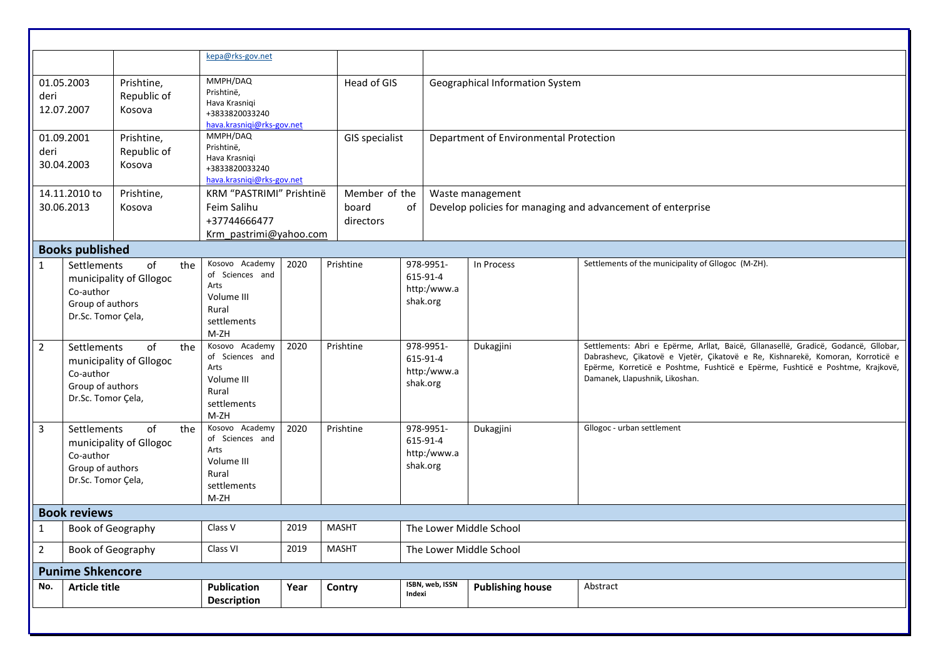|                                |                                                                                                                                                           |                                                                              | kepa@rks-gov.net                                                                                                                       |              |                                        |                                                                                          |                                                                                 |                                                                                                                                                                                                                                                                                                             |
|--------------------------------|-----------------------------------------------------------------------------------------------------------------------------------------------------------|------------------------------------------------------------------------------|----------------------------------------------------------------------------------------------------------------------------------------|--------------|----------------------------------------|------------------------------------------------------------------------------------------|---------------------------------------------------------------------------------|-------------------------------------------------------------------------------------------------------------------------------------------------------------------------------------------------------------------------------------------------------------------------------------------------------------|
| deri                           | MMPH/DAQ<br>01.05.2003<br>Prishtine,<br>Prishtinë,<br>Republic of<br>Hava Krasniqi<br>12.07.2007<br>Kosova<br>+3833820033240<br>hava.krasniqi@rks-gov.net |                                                                              | Head of GIS                                                                                                                            |              | Geographical Information System        |                                                                                          |                                                                                 |                                                                                                                                                                                                                                                                                                             |
| deri                           | MMPH/DAQ<br>01.09.2001<br>Prishtine,<br>Prishtinë,<br>Republic of<br>Hava Krasniqi<br>30.04.2003<br>Kosova<br>+3833820033240<br>hava.krasniqi@rks-gov.net |                                                                              | <b>GIS specialist</b>                                                                                                                  |              | Department of Environmental Protection |                                                                                          |                                                                                 |                                                                                                                                                                                                                                                                                                             |
|                                | 14.11.2010 to<br>30.06.2013                                                                                                                               | Prishtine,<br>Kosova                                                         | KRM "PASTRIMI" Prishtinë<br>Feim Salihu<br>+37744666477<br>Krm pastrimi@yahoo.com                                                      |              | Member of the<br>board<br>directors    | 0f                                                                                       | Waste management<br>Develop policies for managing and advancement of enterprise |                                                                                                                                                                                                                                                                                                             |
|                                | <b>Books published</b>                                                                                                                                    |                                                                              |                                                                                                                                        |              |                                        |                                                                                          |                                                                                 |                                                                                                                                                                                                                                                                                                             |
| $\mathbf{1}$<br>$\overline{2}$ | Settlements<br>Co-author<br>Group of authors<br>Dr.Sc. Tomor Çela,<br>Settlements<br>Co-author                                                            | of<br>the<br>municipality of Gllogoc<br>of<br>the<br>municipality of Gllogoc | Kosovo Academy<br>of Sciences and<br>Arts<br>Volume III<br>Rural<br>settlements<br>$M-ZH$<br>Kosovo Academy<br>of Sciences and<br>Arts | 2020<br>2020 | Prishtine<br>Prishtine                 | 978-9951-<br>615-91-4<br>http:/www.a<br>shak.org<br>978-9951-<br>615-91-4<br>http:/www.a | In Process<br>Dukagjini                                                         | Settlements of the municipality of Gllogoc (M-ZH).<br>Settlements: Abri e Epërme, Arllat, Baicë, Gllanasellë, Gradicë, Godancë, Gllobar,<br>Dabrashevc, Çikatovë e Vjetër, Çikatovë e Re, Kishnarekë, Komoran, Korroticë e<br>Epërme, Korreticë e Poshtme, Fushticë e Epërme, Fushticë e Poshtme, Krajkovë, |
|                                | Group of authors<br>Dr.Sc. Tomor Çela,                                                                                                                    |                                                                              | Volume III<br>Rural<br>settlements<br>M-ZH                                                                                             |              |                                        | shak.org                                                                                 |                                                                                 | Damanek, Llapushnik, Likoshan.                                                                                                                                                                                                                                                                              |
| $\overline{3}$                 | Settlements<br>Co-author<br>Group of authors<br>Dr.Sc. Tomor Çela,                                                                                        | of<br>the<br>municipality of Gllogoc                                         | Kosovo Academy<br>of Sciences and<br>Arts<br>Volume III<br>Rural<br>settlements<br>M-ZH                                                | 2020         | Prishtine                              | 978-9951-<br>615-91-4<br>http:/www.a<br>shak.org                                         | Dukagjini                                                                       | Gllogoc - urban settlement                                                                                                                                                                                                                                                                                  |
|                                | <b>Book reviews</b>                                                                                                                                       |                                                                              |                                                                                                                                        |              |                                        |                                                                                          |                                                                                 |                                                                                                                                                                                                                                                                                                             |
|                                | Book of Geography                                                                                                                                         |                                                                              | Class V                                                                                                                                | 2019         | <b>MASHT</b>                           |                                                                                          | The Lower Middle School                                                         |                                                                                                                                                                                                                                                                                                             |
| $\overline{2}$                 | Book of Geography                                                                                                                                         |                                                                              | Class VI                                                                                                                               | 2019         | <b>MASHT</b>                           |                                                                                          | The Lower Middle School                                                         |                                                                                                                                                                                                                                                                                                             |
|                                | <b>Punime Shkencore</b>                                                                                                                                   |                                                                              |                                                                                                                                        |              |                                        |                                                                                          |                                                                                 |                                                                                                                                                                                                                                                                                                             |
| No.                            | <b>Article title</b>                                                                                                                                      |                                                                              | Publication<br><b>Description</b>                                                                                                      | Year         | Contry                                 | ISBN, web, ISSN<br>Indexi                                                                | <b>Publishing house</b>                                                         | Abstract                                                                                                                                                                                                                                                                                                    |
|                                |                                                                                                                                                           |                                                                              |                                                                                                                                        |              |                                        |                                                                                          |                                                                                 |                                                                                                                                                                                                                                                                                                             |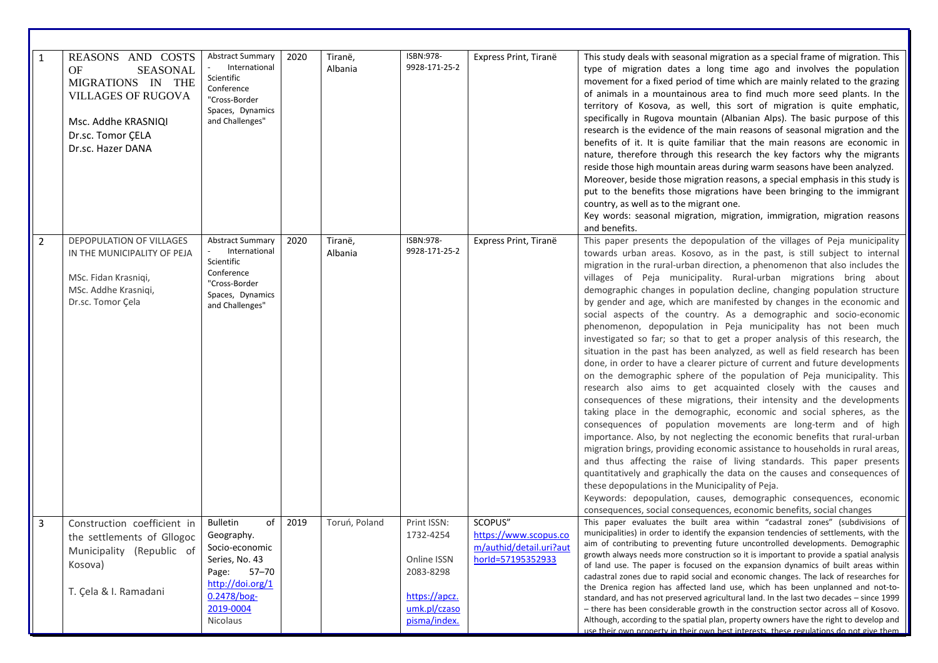| $\mathbf{1}$   | REASONS AND COSTS<br><b>SEASONAL</b><br>OF<br>MIGRATIONS IN THE<br><b>VILLAGES OF RUGOVA</b><br>Msc. Addhe KRASNIQI<br>Dr.sc. Tomor CELA<br>Dr.sc. Hazer DANA | <b>Abstract Summary</b><br>International<br>Scientific<br>Conference<br>"Cross-Border<br>Spaces, Dynamics<br>and Challenges"                              | 2020 | Tiranë,<br>Albania | ISBN:978-<br>9928-171-25-2                                                                            | Express Print, Tiranë                                                            | This study deals with seasonal migration as a special frame of migration. This<br>type of migration dates a long time ago and involves the population<br>movement for a fixed period of time which are mainly related to the grazing<br>of animals in a mountainous area to find much more seed plants. In the<br>territory of Kosova, as well, this sort of migration is quite emphatic,<br>specifically in Rugova mountain (Albanian Alps). The basic purpose of this<br>research is the evidence of the main reasons of seasonal migration and the<br>benefits of it. It is quite familiar that the main reasons are economic in<br>nature, therefore through this research the key factors why the migrants<br>reside those high mountain areas during warm seasons have been analyzed.<br>Moreover, beside those migration reasons, a special emphasis in this study is<br>put to the benefits those migrations have been bringing to the immigrant<br>country, as well as to the migrant one.<br>Key words: seasonal migration, migration, immigration, migration reasons<br>and benefits.                                                                                                                                                                                                                                                                                                                                                                                                                                                                                                                                                                                                                                                |
|----------------|---------------------------------------------------------------------------------------------------------------------------------------------------------------|-----------------------------------------------------------------------------------------------------------------------------------------------------------|------|--------------------|-------------------------------------------------------------------------------------------------------|----------------------------------------------------------------------------------|-------------------------------------------------------------------------------------------------------------------------------------------------------------------------------------------------------------------------------------------------------------------------------------------------------------------------------------------------------------------------------------------------------------------------------------------------------------------------------------------------------------------------------------------------------------------------------------------------------------------------------------------------------------------------------------------------------------------------------------------------------------------------------------------------------------------------------------------------------------------------------------------------------------------------------------------------------------------------------------------------------------------------------------------------------------------------------------------------------------------------------------------------------------------------------------------------------------------------------------------------------------------------------------------------------------------------------------------------------------------------------------------------------------------------------------------------------------------------------------------------------------------------------------------------------------------------------------------------------------------------------------------------------------------------------------------------------------------------------------------------|
| $\overline{2}$ | DEPOPULATION OF VILLAGES<br>IN THE MUNICIPALITY OF PEJA<br>MSc. Fidan Krasniqi,<br>MSc. Addhe Krasniqi,<br>Dr.sc. Tomor Çela                                  | <b>Abstract Summary</b><br>International<br>Scientific<br>Conference<br>"Cross-Border<br>Spaces, Dynamics<br>and Challenges"                              | 2020 | Tiranë,<br>Albania | ISBN:978-<br>9928-171-25-2                                                                            | Express Print, Tiranë                                                            | This paper presents the depopulation of the villages of Peja municipality<br>towards urban areas. Kosovo, as in the past, is still subject to internal<br>migration in the rural-urban direction, a phenomenon that also includes the<br>villages of Peja municipality. Rural-urban migrations bring about<br>demographic changes in population decline, changing population structure<br>by gender and age, which are manifested by changes in the economic and<br>social aspects of the country. As a demographic and socio-economic<br>phenomenon, depopulation in Peja municipality has not been much<br>investigated so far; so that to get a proper analysis of this research, the<br>situation in the past has been analyzed, as well as field research has been<br>done, in order to have a clearer picture of current and future developments<br>on the demographic sphere of the population of Peja municipality. This<br>research also aims to get acquainted closely with the causes and<br>consequences of these migrations, their intensity and the developments<br>taking place in the demographic, economic and social spheres, as the<br>consequences of population movements are long-term and of high<br>importance. Also, by not neglecting the economic benefits that rural-urban<br>migration brings, providing economic assistance to households in rural areas,<br>and thus affecting the raise of living standards. This paper presents<br>quantitatively and graphically the data on the causes and consequences of<br>these depopulations in the Municipality of Peja.<br>Keywords: depopulation, causes, demographic consequences, economic<br>consequences, social consequences, economic benefits, social changes |
| 3              | Construction coefficient in<br>the settlements of Gllogoc<br>Municipality (Republic of<br>Kosova)<br>T. Çela & I. Ramadani                                    | of<br><b>Bulletin</b><br>Geography.<br>Socio-economic<br>Series, No. 43<br>$57 - 70$<br>Page:<br>http://doi.org/1<br>0.2478/bog-<br>2019-0004<br>Nicolaus | 2019 | Toruń, Poland      | Print ISSN:<br>1732-4254<br>Online ISSN<br>2083-8298<br>https://apcz.<br>umk.pl/czaso<br>pisma/index. | SCOPUS"<br>https://www.scopus.co<br>m/authid/detail.uri?aut<br>horld=57195352933 | This paper evaluates the built area within "cadastral zones" (subdivisions of<br>municipalities) in order to identify the expansion tendencies of settlements, with the<br>aim of contributing to preventing future uncontrolled developments. Demographic<br>growth always needs more construction so it is important to provide a spatial analysis<br>of land use. The paper is focused on the expansion dynamics of built areas within<br>cadastral zones due to rapid social and economic changes. The lack of researches for<br>the Drenica region has affected land use, which has been unplanned and not-to-<br>standard, and has not preserved agricultural land. In the last two decades - since 1999<br>- there has been considerable growth in the construction sector across all of Kosovo.<br>Although, according to the spatial plan, property owners have the right to develop and<br>use their own property in their own best interests, these regulations do not give them                                                                                                                                                                                                                                                                                                                                                                                                                                                                                                                                                                                                                                                                                                                                                     |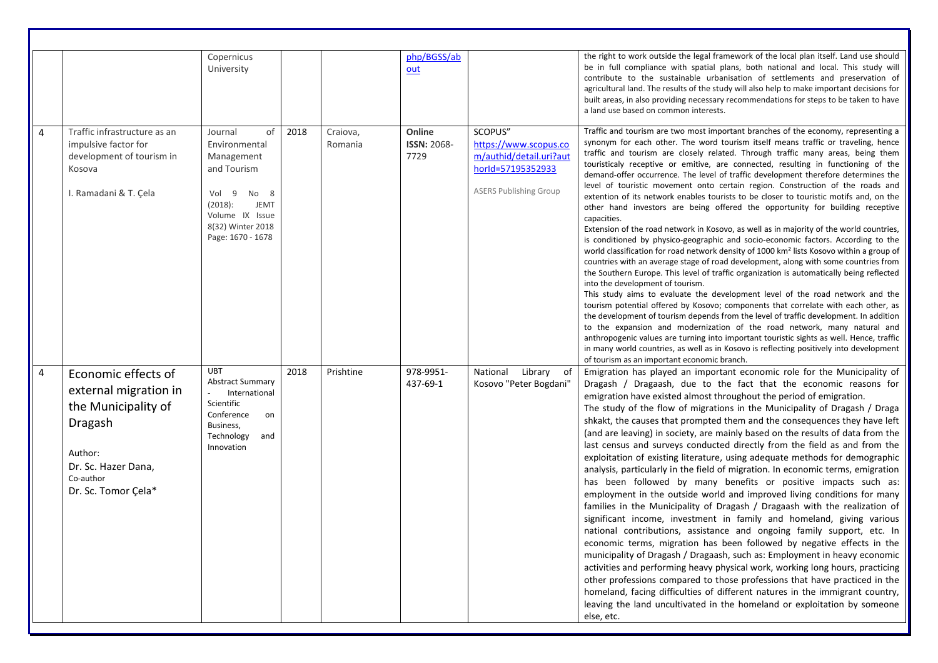|                |                                                                                                                                                      | Copernicus<br>University                                                                                                                                            |      |                     | php/BGSS/ab<br>out                   |                                                                                                                   | the right to work outside the legal framework of the local plan itself. Land use should<br>be in full compliance with spatial plans, both national and local. This study will<br>contribute to the sustainable urbanisation of settlements and preservation of<br>agricultural land. The results of the study will also help to make important decisions for<br>built areas, in also providing necessary recommendations for steps to be taken to have<br>a land use based on common interests.                                                                                                                                                                                                                                                                                                                                                                                                                                                                                                                                                                                                                                                                                                                                                                                                                                                                                                                                                                                                                                                                                                                                                                                                                                                                                                                    |
|----------------|------------------------------------------------------------------------------------------------------------------------------------------------------|---------------------------------------------------------------------------------------------------------------------------------------------------------------------|------|---------------------|--------------------------------------|-------------------------------------------------------------------------------------------------------------------|--------------------------------------------------------------------------------------------------------------------------------------------------------------------------------------------------------------------------------------------------------------------------------------------------------------------------------------------------------------------------------------------------------------------------------------------------------------------------------------------------------------------------------------------------------------------------------------------------------------------------------------------------------------------------------------------------------------------------------------------------------------------------------------------------------------------------------------------------------------------------------------------------------------------------------------------------------------------------------------------------------------------------------------------------------------------------------------------------------------------------------------------------------------------------------------------------------------------------------------------------------------------------------------------------------------------------------------------------------------------------------------------------------------------------------------------------------------------------------------------------------------------------------------------------------------------------------------------------------------------------------------------------------------------------------------------------------------------------------------------------------------------------------------------------------------------|
| 4              | Traffic infrastructure as an<br>impulsive factor for<br>development of tourism in<br>Kosova<br>I. Ramadani & T. Çela                                 | of<br>Journal<br>Environmental<br>Management<br>and Tourism<br>Vol 9<br>No 8<br><b>JEMT</b><br>(2018):<br>Volume IX Issue<br>8(32) Winter 2018<br>Page: 1670 - 1678 | 2018 | Craiova,<br>Romania | Online<br><b>ISSN: 2068-</b><br>7729 | SCOPUS"<br>https://www.scopus.co<br>m/authid/detail.uri?aut<br>horld=57195352933<br><b>ASERS Publishing Group</b> | Traffic and tourism are two most important branches of the economy, representing a<br>synonym for each other. The word tourism itself means traffic or traveling, hence<br>traffic and tourism are closely related. Through traffic many areas, being them<br>touristicaly receptive or emitive, are connected, resulting in functioning of the<br>demand-offer occurrence. The level of traffic development therefore determines the<br>level of touristic movement onto certain region. Construction of the roads and<br>extention of its network enables tourists to be closer to touristic motifs and, on the<br>other hand investors are being offered the opportunity for building receptive<br>capacities.<br>Extension of the road network in Kosovo, as well as in majority of the world countries,<br>is conditioned by physico-geographic and socio-economic factors. According to the<br>world classification for road network density of 1000 km <sup>2</sup> lists Kosovo within a group of<br>countries with an average stage of road development, along with some countries from<br>the Southern Europe. This level of traffic organization is automatically being reflected<br>into the development of tourism.<br>This study aims to evaluate the development level of the road network and the<br>tourism potential offered by Kosovo; components that correlate with each other, as<br>the development of tourism depends from the level of traffic development. In addition<br>to the expansion and modernization of the road network, many natural and<br>anthropogenic values are turning into important touristic sights as well. Hence, traffic<br>in many world countries, as well as in Kosovo is reflecting positively into development<br>of tourism as an important economic branch. |
| $\overline{4}$ | Economic effects of<br>external migration in<br>the Municipality of<br>Dragash<br>Author:<br>Dr. Sc. Hazer Dana,<br>Co-author<br>Dr. Sc. Tomor Çela* | <b>UBT</b><br><b>Abstract Summary</b><br>International<br>Scientific<br>Conference<br>on<br>Business,<br>Technology<br>and<br>Innovation                            | 2018 | Prishtine           | 978-9951-<br>437-69-1                | National<br>Library of<br>Kosovo "Peter Bogdani"                                                                  | Emigration has played an important economic role for the Municipality of<br>Dragash / Dragaash, due to the fact that the economic reasons for<br>emigration have existed almost throughout the period of emigration.<br>The study of the flow of migrations in the Municipality of Dragash / Draga<br>shkakt, the causes that prompted them and the consequences they have left<br>(and are leaving) in society, are mainly based on the results of data from the<br>last census and surveys conducted directly from the field as and from the<br>exploitation of existing literature, using adequate methods for demographic<br>analysis, particularly in the field of migration. In economic terms, emigration<br>has been followed by many benefits or positive impacts such as:<br>employment in the outside world and improved living conditions for many<br>families in the Municipality of Dragash / Dragaash with the realization of<br>significant income, investment in family and homeland, giving various<br>national contributions, assistance and ongoing family support, etc. In<br>economic terms, migration has been followed by negative effects in the<br>municipality of Dragash / Dragaash, such as: Employment in heavy economic<br>activities and performing heavy physical work, working long hours, practicing<br>other professions compared to those professions that have practiced in the<br>homeland, facing difficulties of different natures in the immigrant country,<br>leaving the land uncultivated in the homeland or exploitation by someone<br>else, etc.                                                                                                                                                                                                                    |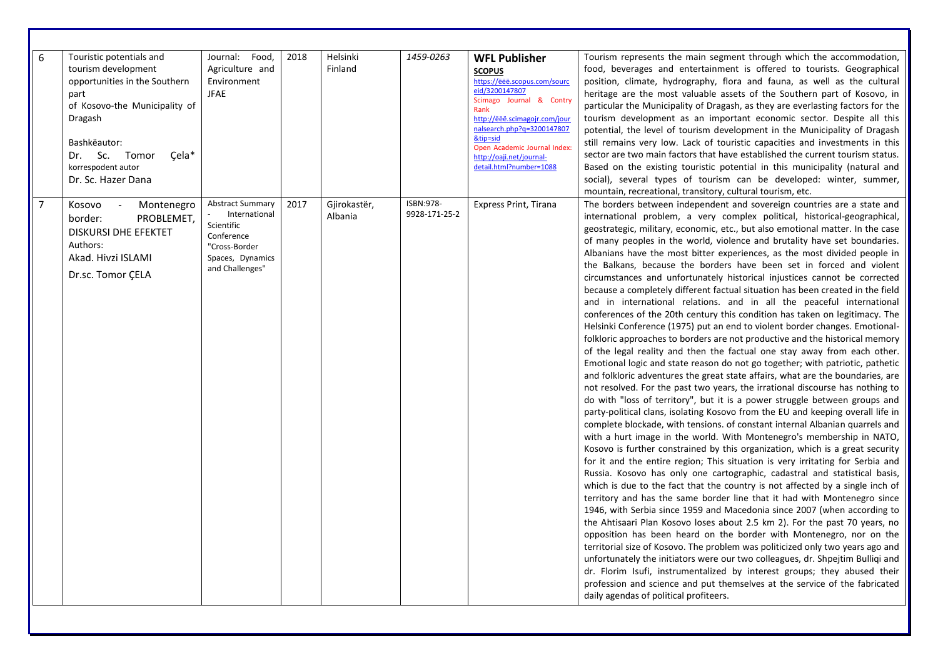| 6              | Touristic potentials and<br>tourism development<br>opportunities in the Southern<br>part<br>of Kosovo-the Municipality of<br>Dragash<br>Bashkëautor:<br>Dr. Sc.<br>Çela*<br>Tomor<br>korrespodent autor<br>Dr. Sc. Hazer Dana | Journal: Food,<br>Agriculture and<br>Environment<br><b>JFAE</b>                                                              | 2018 | Helsinki<br>Finland     | 1459-0263                  | <b>WFL Publisher</b><br><b>SCOPUS</b><br>https://ëëë.scopus.com/sourc<br>eid/3200147807<br>Scimago Journal & Contry<br>Rank<br>http://ëëë.scimagojr.com/jour<br>nalsearch.php?q=3200147807<br>&tip=sid<br>Open Academic Journal Index:<br>http://oaji.net/journal-<br>detail.html?number=1088 | Tourism represents the main segment through which the accommodation,<br>food, beverages and entertainment is offered to tourists. Geographical<br>position, climate, hydrography, flora and fauna, as well as the cultural<br>heritage are the most valuable assets of the Southern part of Kosovo, in<br>particular the Municipality of Dragash, as they are everlasting factors for the<br>tourism development as an important economic sector. Despite all this<br>potential, the level of tourism development in the Municipality of Dragash<br>still remains very low. Lack of touristic capacities and investments in this<br>sector are two main factors that have established the current tourism status.<br>Based on the existing touristic potential in this municipality (natural and<br>social), several types of tourism can be developed: winter, summer,<br>mountain, recreational, transitory, cultural tourism, etc.                                                                                                                                                                                                                                                                                                                                                                                                                                                                                                                                                                                                                                                                                                                                                                                                                                                                                                                                                                                                                                                                                                                                                                                                                                                                                                                                                                                                                                                                                                                                                                                                                                                                                                           |
|----------------|-------------------------------------------------------------------------------------------------------------------------------------------------------------------------------------------------------------------------------|------------------------------------------------------------------------------------------------------------------------------|------|-------------------------|----------------------------|-----------------------------------------------------------------------------------------------------------------------------------------------------------------------------------------------------------------------------------------------------------------------------------------------|-------------------------------------------------------------------------------------------------------------------------------------------------------------------------------------------------------------------------------------------------------------------------------------------------------------------------------------------------------------------------------------------------------------------------------------------------------------------------------------------------------------------------------------------------------------------------------------------------------------------------------------------------------------------------------------------------------------------------------------------------------------------------------------------------------------------------------------------------------------------------------------------------------------------------------------------------------------------------------------------------------------------------------------------------------------------------------------------------------------------------------------------------------------------------------------------------------------------------------------------------------------------------------------------------------------------------------------------------------------------------------------------------------------------------------------------------------------------------------------------------------------------------------------------------------------------------------------------------------------------------------------------------------------------------------------------------------------------------------------------------------------------------------------------------------------------------------------------------------------------------------------------------------------------------------------------------------------------------------------------------------------------------------------------------------------------------------------------------------------------------------------------------------------------------------------------------------------------------------------------------------------------------------------------------------------------------------------------------------------------------------------------------------------------------------------------------------------------------------------------------------------------------------------------------------------------------------------------------------------------------------------------------|
| $\overline{7}$ | Montenegro<br>Kosovo<br>PROBLEMET.<br>border:<br><b>DISKURSI DHE EFEKTET</b><br>Authors:<br>Akad. Hivzi ISLAMI<br>Dr.sc. Tomor ÇELA                                                                                           | <b>Abstract Summary</b><br>International<br>Scientific<br>Conference<br>"Cross-Border<br>Spaces, Dynamics<br>and Challenges" | 2017 | Gjirokastër,<br>Albania | ISBN:978-<br>9928-171-25-2 | <b>Express Print, Tirana</b>                                                                                                                                                                                                                                                                  | The borders between independent and sovereign countries are a state and<br>international problem, a very complex political, historical-geographical,<br>geostrategic, military, economic, etc., but also emotional matter. In the case<br>of many peoples in the world, violence and brutality have set boundaries.<br>Albanians have the most bitter experiences, as the most divided people in<br>the Balkans, because the borders have been set in forced and violent<br>circumstances and unfortunately historical injustices cannot be corrected<br>because a completely different factual situation has been created in the field<br>and in international relations. and in all the peaceful international<br>conferences of the 20th century this condition has taken on legitimacy. The<br>Helsinki Conference (1975) put an end to violent border changes. Emotional-<br>folkloric approaches to borders are not productive and the historical memory<br>of the legal reality and then the factual one stay away from each other.<br>Emotional logic and state reason do not go together; with patriotic, pathetic<br>and folkloric adventures the great state affairs, what are the boundaries, are<br>not resolved. For the past two years, the irrational discourse has nothing to<br>do with "loss of territory", but it is a power struggle between groups and<br>party-political clans, isolating Kosovo from the EU and keeping overall life in<br>complete blockade, with tensions. of constant internal Albanian quarrels and<br>with a hurt image in the world. With Montenegro's membership in NATO,<br>Kosovo is further constrained by this organization, which is a great security<br>for it and the entire region; This situation is very irritating for Serbia and<br>Russia. Kosovo has only one cartographic, cadastral and statistical basis,<br>which is due to the fact that the country is not affected by a single inch of<br>territory and has the same border line that it had with Montenegro since<br>1946, with Serbia since 1959 and Macedonia since 2007 (when according to<br>the Ahtisaari Plan Kosovo loses about 2.5 km 2). For the past 70 years, no<br>opposition has been heard on the border with Montenegro, nor on the<br>territorial size of Kosovo. The problem was politicized only two years ago and<br>unfortunately the initiators were our two colleagues, dr. Shpejtim Bulligi and<br>dr. Florim Isufi, instrumentalized by interest groups; they abused their<br>profession and science and put themselves at the service of the fabricated<br>daily agendas of political profiteers. |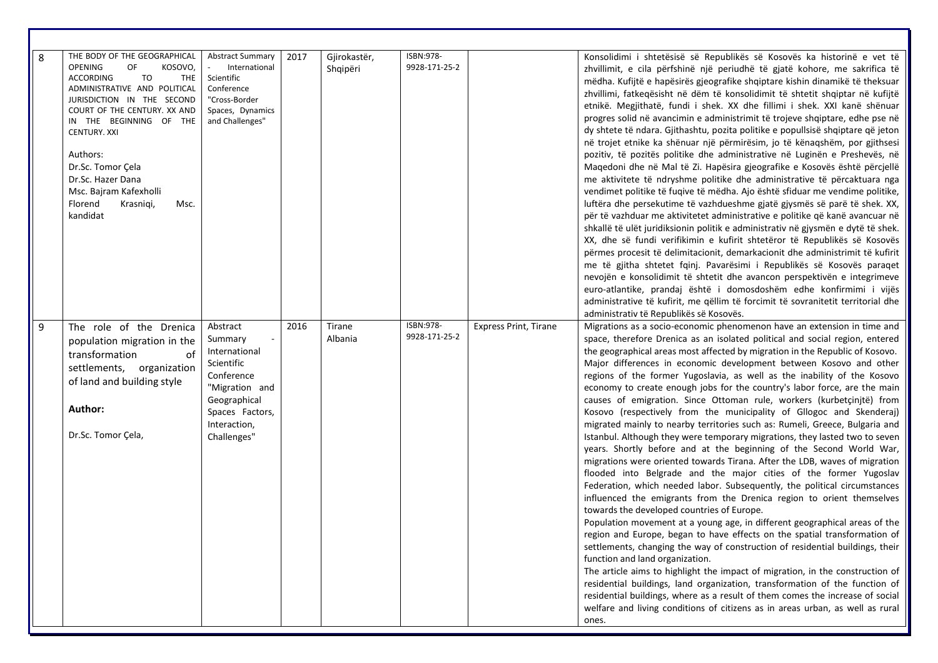| 8 | THE BODY OF THE GEOGRAPHICAL<br><b>OPENING</b><br>OF<br>KOSOVO,<br><b>TO</b><br><b>THE</b><br><b>ACCORDING</b><br>ADMINISTRATIVE AND POLITICAL<br>JURISDICTION IN THE SECOND<br>COURT OF THE CENTURY. XX AND<br>IN THE BEGINNING OF THE<br>CENTURY. XXI<br>Authors:<br>Dr.Sc. Tomor Çela<br>Dr.Sc. Hazer Dana<br>Msc. Bajram Kafexholli<br>Florend<br>Krasniqi,<br>Msc.<br>kandidat | Abstract Summary<br>International<br>Scientific<br>Conference<br>"Cross-Border<br>Spaces, Dynamics<br>and Challenges"                                | 2017 | Gjirokastër,<br>Shqipëri | ISBN:978-<br>9928-171-25-2 |                              | Konsolidimi i shtetësisë së Republikës së Kosovës ka historinë e vet të<br>zhvillimit, e cila përfshinë një periudhë të gjatë kohore, me sakrifica të<br>mëdha. Kufijtë e hapësirës gjeografike shqiptare kishin dinamikë të theksuar<br>zhvillimi, fatkeqësisht në dëm të konsolidimit të shtetit shqiptar në kufijtë<br>etnikë. Megjithatë, fundi i shek. XX dhe fillimi i shek. XXI kanë shënuar<br>progres solid në avancimin e administrimit të trojeve shqiptare, edhe pse në<br>dy shtete të ndara. Gjithashtu, pozita politike e popullsisë shqiptare që jeton<br>në trojet etnike ka shënuar një përmirësim, jo të kënaqshëm, por gjithsesi<br>pozitiv, të pozitës politike dhe administrative në Luginën e Preshevës, në<br>Maqedoni dhe në Mal të Zi. Hapësira gjeografike e Kosovës është përcjellë<br>me aktivitete të ndryshme politike dhe administrative të përcaktuara nga<br>vendimet politike të fuqive të mëdha. Ajo është sfiduar me vendime politike,<br>luftëra dhe persekutime të vazhdueshme gjatë gjysmës së parë të shek. XX,<br>për të vazhduar me aktivitetet administrative e politike që kanë avancuar në<br>shkallë të ulët juridiksionin politik e administrativ në gjysmën e dytë të shek.<br>XX, dhe së fundi verifikimin e kufirit shtetëror të Republikës së Kosovës<br>përmes procesit të delimitacionit, demarkacionit dhe administrimit të kufirit<br>me të gjitha shtetet fqinj. Pavarësimi i Republikës së Kosovës paraqet<br>nevojën e konsolidimit të shtetit dhe avancon perspektivën e integrimeve<br>euro-atlantike, prandaj është i domosdoshëm edhe konfirmimi i vijës<br>administrative të kufirit, me qëllim të forcimit të sovranitetit territorial dhe<br>administrativ të Republikës së Kosovës.                                                                                        |
|---|-------------------------------------------------------------------------------------------------------------------------------------------------------------------------------------------------------------------------------------------------------------------------------------------------------------------------------------------------------------------------------------|------------------------------------------------------------------------------------------------------------------------------------------------------|------|--------------------------|----------------------------|------------------------------|-----------------------------------------------------------------------------------------------------------------------------------------------------------------------------------------------------------------------------------------------------------------------------------------------------------------------------------------------------------------------------------------------------------------------------------------------------------------------------------------------------------------------------------------------------------------------------------------------------------------------------------------------------------------------------------------------------------------------------------------------------------------------------------------------------------------------------------------------------------------------------------------------------------------------------------------------------------------------------------------------------------------------------------------------------------------------------------------------------------------------------------------------------------------------------------------------------------------------------------------------------------------------------------------------------------------------------------------------------------------------------------------------------------------------------------------------------------------------------------------------------------------------------------------------------------------------------------------------------------------------------------------------------------------------------------------------------------------------------------------------------------------------------------------------------------------------------------------------|
| 9 | The role of the Drenica<br>population migration in the<br>transformation<br>of<br>settlements, organization<br>of land and building style<br>Author:<br>Dr.Sc. Tomor Çela,                                                                                                                                                                                                          | Abstract<br>Summary<br>International<br>Scientific<br>Conference<br>"Migration and<br>Geographical<br>Spaces Factors,<br>Interaction,<br>Challenges" | 2016 | Tirane<br>Albania        | ISBN:978-<br>9928-171-25-2 | <b>Express Print, Tirane</b> | Migrations as a socio-economic phenomenon have an extension in time and<br>space, therefore Drenica as an isolated political and social region, entered<br>the geographical areas most affected by migration in the Republic of Kosovo.<br>Major differences in economic development between Kosovo and other<br>regions of the former Yugoslavia, as well as the inability of the Kosovo<br>economy to create enough jobs for the country's labor force, are the main<br>causes of emigration. Since Ottoman rule, workers (kurbetçinjtë) from<br>Kosovo (respectively from the municipality of Gllogoc and Skenderaj)<br>migrated mainly to nearby territories such as: Rumeli, Greece, Bulgaria and<br>Istanbul. Although they were temporary migrations, they lasted two to seven<br>years. Shortly before and at the beginning of the Second World War,<br>migrations were oriented towards Tirana. After the LDB, waves of migration<br>flooded into Belgrade and the major cities of the former Yugoslav<br>Federation, which needed labor. Subsequently, the political circumstances<br>influenced the emigrants from the Drenica region to orient themselves<br>towards the developed countries of Europe.<br>Population movement at a young age, in different geographical areas of the<br>region and Europe, began to have effects on the spatial transformation of<br>settlements, changing the way of construction of residential buildings, their<br>function and land organization.<br>The article aims to highlight the impact of migration, in the construction of<br>residential buildings, land organization, transformation of the function of<br>residential buildings, where as a result of them comes the increase of social<br>welfare and living conditions of citizens as in areas urban, as well as rural<br>ones. |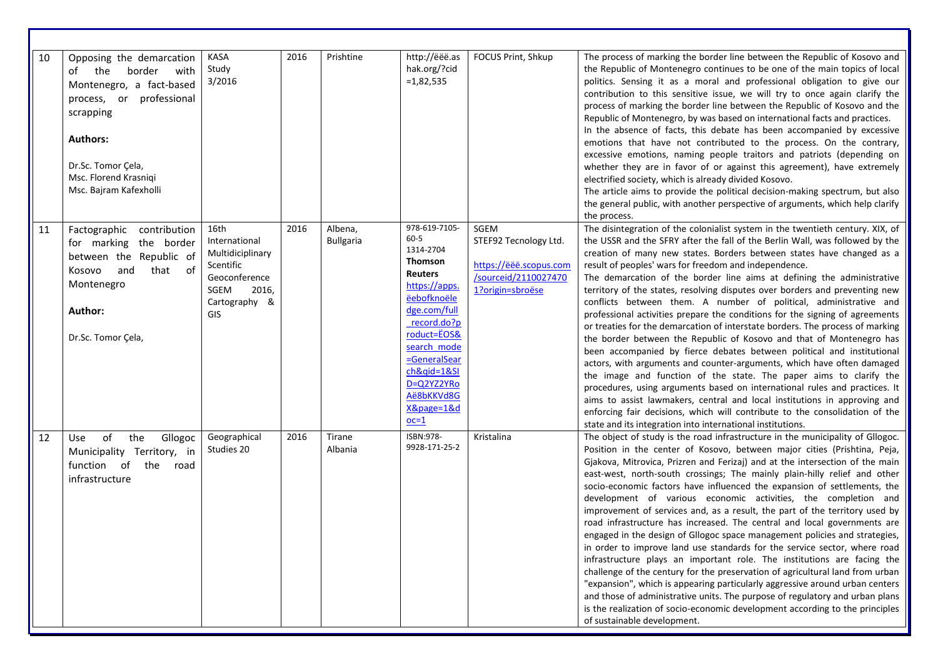| 10 | Opposing the demarcation<br>of the<br>border<br>with<br>Montenegro, a fact-based<br>process, or professional<br>scrapping<br><b>Authors:</b><br>Dr.Sc. Tomor Cela,<br>Msc. Florend Krasniqi<br>Msc. Bajram Kafexholli | <b>KASA</b><br>Study<br>3/2016                                                                                          | 2016 | Prishtine                   | http://ëëë.as<br>hak.org/?cid<br>$=1,82,535$                                                                                                                                                                                                               | FOCUS Print, Shkup                                                                                  | The process of marking the border line between the Republic of Kosovo and<br>the Republic of Montenegro continues to be one of the main topics of local<br>politics. Sensing it as a moral and professional obligation to give our<br>contribution to this sensitive issue, we will try to once again clarify the<br>process of marking the border line between the Republic of Kosovo and the<br>Republic of Montenegro, by was based on international facts and practices.<br>In the absence of facts, this debate has been accompanied by excessive<br>emotions that have not contributed to the process. On the contrary,<br>excessive emotions, naming people traitors and patriots (depending on<br>whether they are in favor of or against this agreement), have extremely<br>electrified society, which is already divided Kosovo.<br>The article aims to provide the political decision-making spectrum, but also<br>the general public, with another perspective of arguments, which help clarify                                                                                                                                                                                                                                                                                                               |
|----|-----------------------------------------------------------------------------------------------------------------------------------------------------------------------------------------------------------------------|-------------------------------------------------------------------------------------------------------------------------|------|-----------------------------|------------------------------------------------------------------------------------------------------------------------------------------------------------------------------------------------------------------------------------------------------------|-----------------------------------------------------------------------------------------------------|---------------------------------------------------------------------------------------------------------------------------------------------------------------------------------------------------------------------------------------------------------------------------------------------------------------------------------------------------------------------------------------------------------------------------------------------------------------------------------------------------------------------------------------------------------------------------------------------------------------------------------------------------------------------------------------------------------------------------------------------------------------------------------------------------------------------------------------------------------------------------------------------------------------------------------------------------------------------------------------------------------------------------------------------------------------------------------------------------------------------------------------------------------------------------------------------------------------------------------------------------------------------------------------------------------------------------|
| 11 | Factographic contribution<br>for marking the border<br>between the Republic of<br>of<br>that<br>Kosovo<br>and<br>Montenegro<br>Author:<br>Dr.Sc. Tomor Çela,                                                          | 16th<br>International<br>Multidiciplinary<br>Scentific<br>Geoconference<br>SGEM<br>2016,<br>Cartography &<br><b>GIS</b> | 2016 | Albena,<br><b>Bullgaria</b> | 978-619-7105-<br>$60 - 5$<br>1314-2704<br><b>Thomson</b><br><b>Reuters</b><br>https://apps.<br>ëebofknoële<br>dge.com/full<br>record.do?p<br>roduct=EOS&<br>search mode<br>=GeneralSear<br>ch&qid=1&SI<br>D=Q2YZ2YRo<br>Aë8bKKVd8G<br>X&page=1&d<br>$oc=1$ | SGEM<br>STEF92 Tecnology Ltd.<br>https://ëëë.scopus.com<br>/sourceid/2110027470<br>1?origin=sbroëse | the process.<br>The disintegration of the colonialist system in the twentieth century. XIX, of<br>the USSR and the SFRY after the fall of the Berlin Wall, was followed by the<br>creation of many new states. Borders between states have changed as a<br>result of peoples' wars for freedom and independence.<br>The demarcation of the border line aims at defining the administrative<br>territory of the states, resolving disputes over borders and preventing new<br>conflicts between them. A number of political, administrative and<br>professional activities prepare the conditions for the signing of agreements<br>or treaties for the demarcation of interstate borders. The process of marking<br>the border between the Republic of Kosovo and that of Montenegro has<br>been accompanied by fierce debates between political and institutional<br>actors, with arguments and counter-arguments, which have often damaged<br>the image and function of the state. The paper aims to clarify the<br>procedures, using arguments based on international rules and practices. It<br>aims to assist lawmakers, central and local institutions in approving and<br>enforcing fair decisions, which will contribute to the consolidation of the<br>state and its integration into international institutions. |
| 12 | of<br>the<br>Gllogoc<br>Use<br>Municipality Territory, in<br>function of<br>the<br>road<br>infrastructure                                                                                                             | Geographical<br>Studies 20                                                                                              | 2016 | Tirane<br>Albania           | ISBN:978-<br>9928-171-25-2                                                                                                                                                                                                                                 | Kristalina                                                                                          | The object of study is the road infrastructure in the municipality of Gllogoc.<br>Position in the center of Kosovo, between major cities (Prishtina, Peja,<br>Gjakova, Mitrovica, Prizren and Ferizaj) and at the intersection of the main<br>east-west, north-south crossings; The mainly plain-hilly relief and other<br>socio-economic factors have influenced the expansion of settlements, the<br>development of various economic activities, the completion and<br>improvement of services and, as a result, the part of the territory used by<br>road infrastructure has increased. The central and local governments are<br>engaged in the design of Gllogoc space management policies and strategies,<br>in order to improve land use standards for the service sector, where road<br>infrastructure plays an important role. The institutions are facing the<br>challenge of the century for the preservation of agricultural land from urban<br>"expansion", which is appearing particularly aggressive around urban centers<br>and those of administrative units. The purpose of regulatory and urban plans<br>is the realization of socio-economic development according to the principles<br>of sustainable development.                                                                                    |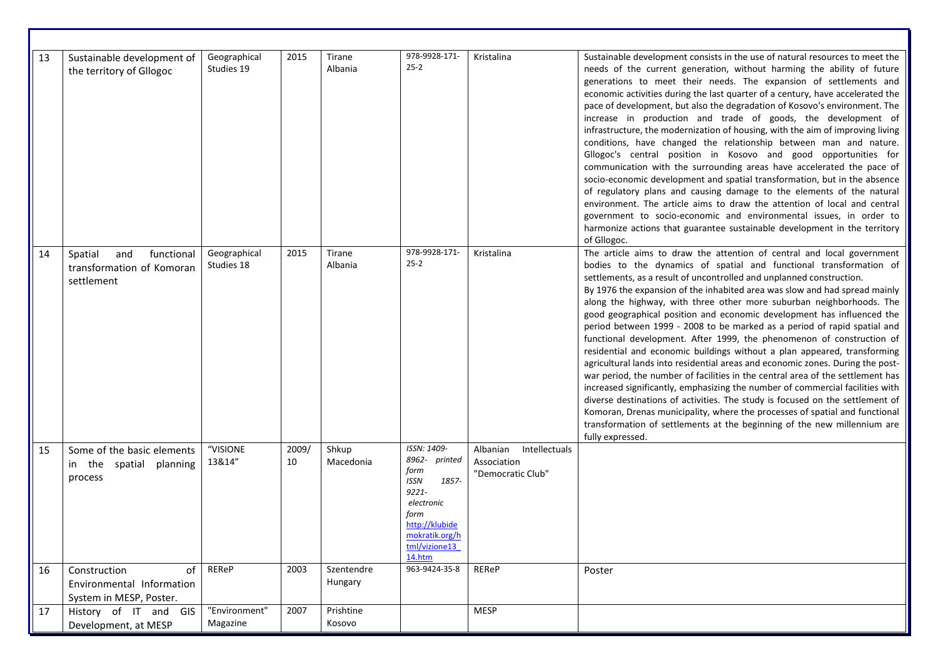| 13 | Sustainable development of<br>the territory of Gllogoc                     | Geographical<br>Studies 19 | 2015        | Tirane<br>Albania     | 978-9928-171-<br>$25 - 2$                                                                                                                                  | Kristalina                                                    | Sustainable development consists in the use of natural resources to meet the<br>needs of the current generation, without harming the ability of future<br>generations to meet their needs. The expansion of settlements and<br>economic activities during the last quarter of a century, have accelerated the<br>pace of development, but also the degradation of Kosovo's environment. The<br>increase in production and trade of goods, the development of<br>infrastructure, the modernization of housing, with the aim of improving living<br>conditions, have changed the relationship between man and nature.<br>Gllogoc's central position in Kosovo and good opportunities for<br>communication with the surrounding areas have accelerated the pace of<br>socio-economic development and spatial transformation, but in the absence<br>of regulatory plans and causing damage to the elements of the natural<br>environment. The article aims to draw the attention of local and central<br>government to socio-economic and environmental issues, in order to<br>harmonize actions that guarantee sustainable development in the territory<br>of Gllogoc.                                        |
|----|----------------------------------------------------------------------------|----------------------------|-------------|-----------------------|------------------------------------------------------------------------------------------------------------------------------------------------------------|---------------------------------------------------------------|------------------------------------------------------------------------------------------------------------------------------------------------------------------------------------------------------------------------------------------------------------------------------------------------------------------------------------------------------------------------------------------------------------------------------------------------------------------------------------------------------------------------------------------------------------------------------------------------------------------------------------------------------------------------------------------------------------------------------------------------------------------------------------------------------------------------------------------------------------------------------------------------------------------------------------------------------------------------------------------------------------------------------------------------------------------------------------------------------------------------------------------------------------------------------------------------------------|
| 14 | and<br>functional<br>Spatial<br>transformation of Komoran<br>settlement    | Geographical<br>Studies 18 | 2015        | Tirane<br>Albania     | 978-9928-171-<br>$25 - 2$                                                                                                                                  | Kristalina                                                    | The article aims to draw the attention of central and local government<br>bodies to the dynamics of spatial and functional transformation of<br>settlements, as a result of uncontrolled and unplanned construction.<br>By 1976 the expansion of the inhabited area was slow and had spread mainly<br>along the highway, with three other more suburban neighborhoods. The<br>good geographical position and economic development has influenced the<br>period between 1999 - 2008 to be marked as a period of rapid spatial and<br>functional development. After 1999, the phenomenon of construction of<br>residential and economic buildings without a plan appeared, transforming<br>agricultural lands into residential areas and economic zones. During the post-<br>war period, the number of facilities in the central area of the settlement has<br>increased significantly, emphasizing the number of commercial facilities with<br>diverse destinations of activities. The study is focused on the settlement of<br>Komoran, Drenas municipality, where the processes of spatial and functional<br>transformation of settlements at the beginning of the new millennium are<br>fully expressed. |
| 15 | Some of the basic elements<br>in the spatial<br>planning<br>process        | "VISIONE<br>13&14"         | 2009/<br>10 | Shkup<br>Macedonia    | ISSN: 1409-<br>8962- printed<br>form<br><b>ISSN</b><br>1857-<br>9221-<br>electronic<br>form<br>http://klubide<br>mokratik.org/h<br>tml/vizione13<br>14.htm | Albanian<br>Intellectuals<br>Association<br>"Democratic Club" |                                                                                                                                                                                                                                                                                                                                                                                                                                                                                                                                                                                                                                                                                                                                                                                                                                                                                                                                                                                                                                                                                                                                                                                                            |
| 16 | Construction<br>of<br>Environmental Information<br>System in MESP, Poster. | REReP                      | 2003        | Szentendre<br>Hungary | 963-9424-35-8                                                                                                                                              | <b>REReP</b>                                                  | Poster                                                                                                                                                                                                                                                                                                                                                                                                                                                                                                                                                                                                                                                                                                                                                                                                                                                                                                                                                                                                                                                                                                                                                                                                     |
| 17 | History of IT and GIS<br>Development, at MESP                              | "Environment"<br>Magazine  | 2007        | Prishtine<br>Kosovo   |                                                                                                                                                            | <b>MESP</b>                                                   |                                                                                                                                                                                                                                                                                                                                                                                                                                                                                                                                                                                                                                                                                                                                                                                                                                                                                                                                                                                                                                                                                                                                                                                                            |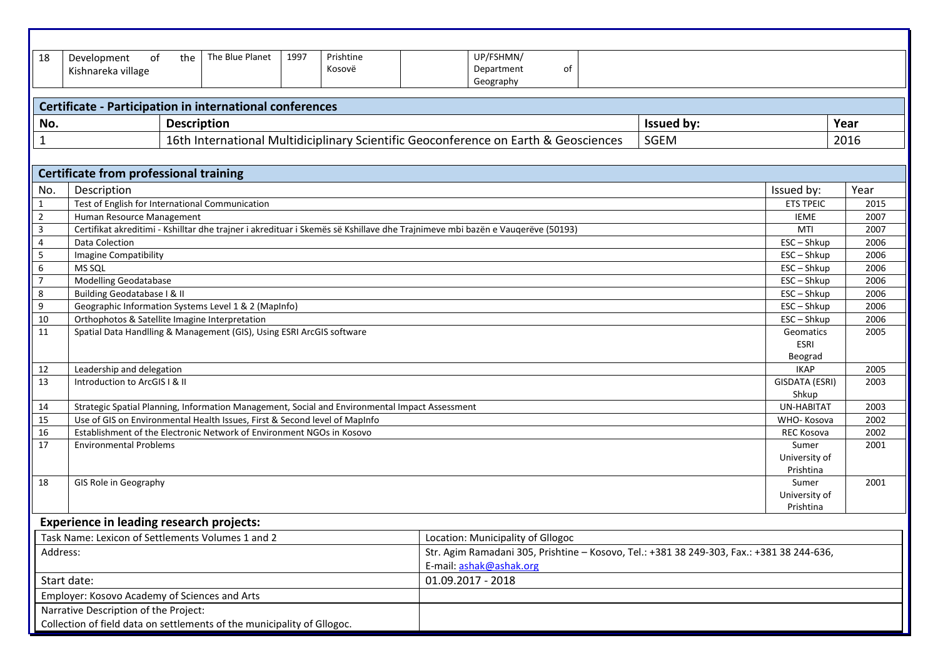| UP/FSHMN/<br>The Blue Planet<br>1997<br>Prishtine<br>18<br>Development<br>of<br>the<br>Department<br>of<br>Kosovë<br>Kishnareka village<br>Geography<br>Certificate - Participation in international conferences<br><b>Issued by:</b><br>Year<br>No.<br><b>Description</b><br>16th International Multidiciplinary Scientific Geoconference on Earth & Geosciences<br><b>SGEM</b><br>2016<br>1<br><b>Certificate from professional training</b><br>Year<br>Description<br>No.<br>Issued by:<br>Test of English for International Communication<br>$\mathbf{1}$<br><b>ETS TPEIC</b><br>2015<br>$\overline{2}$<br>Human Resource Management<br>IEME<br>2007<br>3<br>Certifikat akreditimi - Kshilltar dhe trajner i akredituar i Skemës së Kshillave dhe Trajnimeve mbi bazën e Vauqerëve (50193)<br>MTI<br>2007<br>$\overline{4}$<br>2006<br>Data Colection<br>$ESC - Shkup$<br>5<br>ESC-Shkup<br>2006<br>Imagine Compatibility<br>6<br>MS SQL<br>ESC-Shkup<br>2006<br>$\overline{7}$<br><b>Modelling Geodatabase</b><br>$ESC - Shkup$<br>2006<br>8<br>Building Geodatabase I & II<br>$ESC - Shkup$<br>2006<br>9<br>Geographic Information Systems Level 1 & 2 (MapInfo)<br>$ESC - Shkup$<br>2006<br>2006<br>10<br>Orthophotos & Satellite Imagine Interpretation<br>ESC-Shkup<br>Spatial Data Handlling & Management (GIS), Using ESRI ArcGIS software<br>11<br>2005<br>Geomatics<br><b>ESRI</b><br>Beograd<br>Leadership and delegation<br><b>IKAP</b><br>2005<br>12 |
|----------------------------------------------------------------------------------------------------------------------------------------------------------------------------------------------------------------------------------------------------------------------------------------------------------------------------------------------------------------------------------------------------------------------------------------------------------------------------------------------------------------------------------------------------------------------------------------------------------------------------------------------------------------------------------------------------------------------------------------------------------------------------------------------------------------------------------------------------------------------------------------------------------------------------------------------------------------------------------------------------------------------------------------------------------------------------------------------------------------------------------------------------------------------------------------------------------------------------------------------------------------------------------------------------------------------------------------------------------------------------------------------------------------------------------------------------------------------|
|                                                                                                                                                                                                                                                                                                                                                                                                                                                                                                                                                                                                                                                                                                                                                                                                                                                                                                                                                                                                                                                                                                                                                                                                                                                                                                                                                                                                                                                                      |
|                                                                                                                                                                                                                                                                                                                                                                                                                                                                                                                                                                                                                                                                                                                                                                                                                                                                                                                                                                                                                                                                                                                                                                                                                                                                                                                                                                                                                                                                      |
|                                                                                                                                                                                                                                                                                                                                                                                                                                                                                                                                                                                                                                                                                                                                                                                                                                                                                                                                                                                                                                                                                                                                                                                                                                                                                                                                                                                                                                                                      |
|                                                                                                                                                                                                                                                                                                                                                                                                                                                                                                                                                                                                                                                                                                                                                                                                                                                                                                                                                                                                                                                                                                                                                                                                                                                                                                                                                                                                                                                                      |
|                                                                                                                                                                                                                                                                                                                                                                                                                                                                                                                                                                                                                                                                                                                                                                                                                                                                                                                                                                                                                                                                                                                                                                                                                                                                                                                                                                                                                                                                      |
|                                                                                                                                                                                                                                                                                                                                                                                                                                                                                                                                                                                                                                                                                                                                                                                                                                                                                                                                                                                                                                                                                                                                                                                                                                                                                                                                                                                                                                                                      |
|                                                                                                                                                                                                                                                                                                                                                                                                                                                                                                                                                                                                                                                                                                                                                                                                                                                                                                                                                                                                                                                                                                                                                                                                                                                                                                                                                                                                                                                                      |
|                                                                                                                                                                                                                                                                                                                                                                                                                                                                                                                                                                                                                                                                                                                                                                                                                                                                                                                                                                                                                                                                                                                                                                                                                                                                                                                                                                                                                                                                      |
|                                                                                                                                                                                                                                                                                                                                                                                                                                                                                                                                                                                                                                                                                                                                                                                                                                                                                                                                                                                                                                                                                                                                                                                                                                                                                                                                                                                                                                                                      |
|                                                                                                                                                                                                                                                                                                                                                                                                                                                                                                                                                                                                                                                                                                                                                                                                                                                                                                                                                                                                                                                                                                                                                                                                                                                                                                                                                                                                                                                                      |
|                                                                                                                                                                                                                                                                                                                                                                                                                                                                                                                                                                                                                                                                                                                                                                                                                                                                                                                                                                                                                                                                                                                                                                                                                                                                                                                                                                                                                                                                      |
|                                                                                                                                                                                                                                                                                                                                                                                                                                                                                                                                                                                                                                                                                                                                                                                                                                                                                                                                                                                                                                                                                                                                                                                                                                                                                                                                                                                                                                                                      |
|                                                                                                                                                                                                                                                                                                                                                                                                                                                                                                                                                                                                                                                                                                                                                                                                                                                                                                                                                                                                                                                                                                                                                                                                                                                                                                                                                                                                                                                                      |
|                                                                                                                                                                                                                                                                                                                                                                                                                                                                                                                                                                                                                                                                                                                                                                                                                                                                                                                                                                                                                                                                                                                                                                                                                                                                                                                                                                                                                                                                      |
|                                                                                                                                                                                                                                                                                                                                                                                                                                                                                                                                                                                                                                                                                                                                                                                                                                                                                                                                                                                                                                                                                                                                                                                                                                                                                                                                                                                                                                                                      |
|                                                                                                                                                                                                                                                                                                                                                                                                                                                                                                                                                                                                                                                                                                                                                                                                                                                                                                                                                                                                                                                                                                                                                                                                                                                                                                                                                                                                                                                                      |
|                                                                                                                                                                                                                                                                                                                                                                                                                                                                                                                                                                                                                                                                                                                                                                                                                                                                                                                                                                                                                                                                                                                                                                                                                                                                                                                                                                                                                                                                      |
|                                                                                                                                                                                                                                                                                                                                                                                                                                                                                                                                                                                                                                                                                                                                                                                                                                                                                                                                                                                                                                                                                                                                                                                                                                                                                                                                                                                                                                                                      |
|                                                                                                                                                                                                                                                                                                                                                                                                                                                                                                                                                                                                                                                                                                                                                                                                                                                                                                                                                                                                                                                                                                                                                                                                                                                                                                                                                                                                                                                                      |
|                                                                                                                                                                                                                                                                                                                                                                                                                                                                                                                                                                                                                                                                                                                                                                                                                                                                                                                                                                                                                                                                                                                                                                                                                                                                                                                                                                                                                                                                      |
|                                                                                                                                                                                                                                                                                                                                                                                                                                                                                                                                                                                                                                                                                                                                                                                                                                                                                                                                                                                                                                                                                                                                                                                                                                                                                                                                                                                                                                                                      |
|                                                                                                                                                                                                                                                                                                                                                                                                                                                                                                                                                                                                                                                                                                                                                                                                                                                                                                                                                                                                                                                                                                                                                                                                                                                                                                                                                                                                                                                                      |
|                                                                                                                                                                                                                                                                                                                                                                                                                                                                                                                                                                                                                                                                                                                                                                                                                                                                                                                                                                                                                                                                                                                                                                                                                                                                                                                                                                                                                                                                      |
| 13<br>Introduction to ArcGIS I & II<br>GISDATA (ESRI)<br>2003                                                                                                                                                                                                                                                                                                                                                                                                                                                                                                                                                                                                                                                                                                                                                                                                                                                                                                                                                                                                                                                                                                                                                                                                                                                                                                                                                                                                        |
| Shkup                                                                                                                                                                                                                                                                                                                                                                                                                                                                                                                                                                                                                                                                                                                                                                                                                                                                                                                                                                                                                                                                                                                                                                                                                                                                                                                                                                                                                                                                |
| Strategic Spatial Planning, Information Management, Social and Environmental Impact Assessment<br>2003<br>UN-HABITAT<br>14                                                                                                                                                                                                                                                                                                                                                                                                                                                                                                                                                                                                                                                                                                                                                                                                                                                                                                                                                                                                                                                                                                                                                                                                                                                                                                                                           |
| Use of GIS on Environmental Health Issues, First & Second level of MapInfo<br>15<br>2002<br>WHO-Kosova                                                                                                                                                                                                                                                                                                                                                                                                                                                                                                                                                                                                                                                                                                                                                                                                                                                                                                                                                                                                                                                                                                                                                                                                                                                                                                                                                               |
| Establishment of the Electronic Network of Environment NGOs in Kosovo<br>2002<br>16<br><b>REC Kosova</b>                                                                                                                                                                                                                                                                                                                                                                                                                                                                                                                                                                                                                                                                                                                                                                                                                                                                                                                                                                                                                                                                                                                                                                                                                                                                                                                                                             |
| 17<br><b>Environmental Problems</b><br>Sumer<br>2001                                                                                                                                                                                                                                                                                                                                                                                                                                                                                                                                                                                                                                                                                                                                                                                                                                                                                                                                                                                                                                                                                                                                                                                                                                                                                                                                                                                                                 |
| University of<br>Prishtina                                                                                                                                                                                                                                                                                                                                                                                                                                                                                                                                                                                                                                                                                                                                                                                                                                                                                                                                                                                                                                                                                                                                                                                                                                                                                                                                                                                                                                           |
| GIS Role in Geography<br>Sumer<br>2001<br>18                                                                                                                                                                                                                                                                                                                                                                                                                                                                                                                                                                                                                                                                                                                                                                                                                                                                                                                                                                                                                                                                                                                                                                                                                                                                                                                                                                                                                         |
| University of                                                                                                                                                                                                                                                                                                                                                                                                                                                                                                                                                                                                                                                                                                                                                                                                                                                                                                                                                                                                                                                                                                                                                                                                                                                                                                                                                                                                                                                        |
| Prishtina                                                                                                                                                                                                                                                                                                                                                                                                                                                                                                                                                                                                                                                                                                                                                                                                                                                                                                                                                                                                                                                                                                                                                                                                                                                                                                                                                                                                                                                            |
| <b>Experience in leading research projects:</b>                                                                                                                                                                                                                                                                                                                                                                                                                                                                                                                                                                                                                                                                                                                                                                                                                                                                                                                                                                                                                                                                                                                                                                                                                                                                                                                                                                                                                      |
| Task Name: Lexicon of Settlements Volumes 1 and 2<br>Location: Municipality of Gllogoc                                                                                                                                                                                                                                                                                                                                                                                                                                                                                                                                                                                                                                                                                                                                                                                                                                                                                                                                                                                                                                                                                                                                                                                                                                                                                                                                                                               |
| Str. Agim Ramadani 305, Prishtine - Kosovo, Tel.: +381 38 249-303, Fax.: +381 38 244-636,<br>Address:                                                                                                                                                                                                                                                                                                                                                                                                                                                                                                                                                                                                                                                                                                                                                                                                                                                                                                                                                                                                                                                                                                                                                                                                                                                                                                                                                                |
| E-mail: ashak@ashak.org                                                                                                                                                                                                                                                                                                                                                                                                                                                                                                                                                                                                                                                                                                                                                                                                                                                                                                                                                                                                                                                                                                                                                                                                                                                                                                                                                                                                                                              |
| 01.09.2017 - 2018<br>Start date:                                                                                                                                                                                                                                                                                                                                                                                                                                                                                                                                                                                                                                                                                                                                                                                                                                                                                                                                                                                                                                                                                                                                                                                                                                                                                                                                                                                                                                     |
| Employer: Kosovo Academy of Sciences and Arts                                                                                                                                                                                                                                                                                                                                                                                                                                                                                                                                                                                                                                                                                                                                                                                                                                                                                                                                                                                                                                                                                                                                                                                                                                                                                                                                                                                                                        |
| Narrative Description of the Project:                                                                                                                                                                                                                                                                                                                                                                                                                                                                                                                                                                                                                                                                                                                                                                                                                                                                                                                                                                                                                                                                                                                                                                                                                                                                                                                                                                                                                                |
| Collection of field data on settlements of the municipality of Gllogoc.                                                                                                                                                                                                                                                                                                                                                                                                                                                                                                                                                                                                                                                                                                                                                                                                                                                                                                                                                                                                                                                                                                                                                                                                                                                                                                                                                                                              |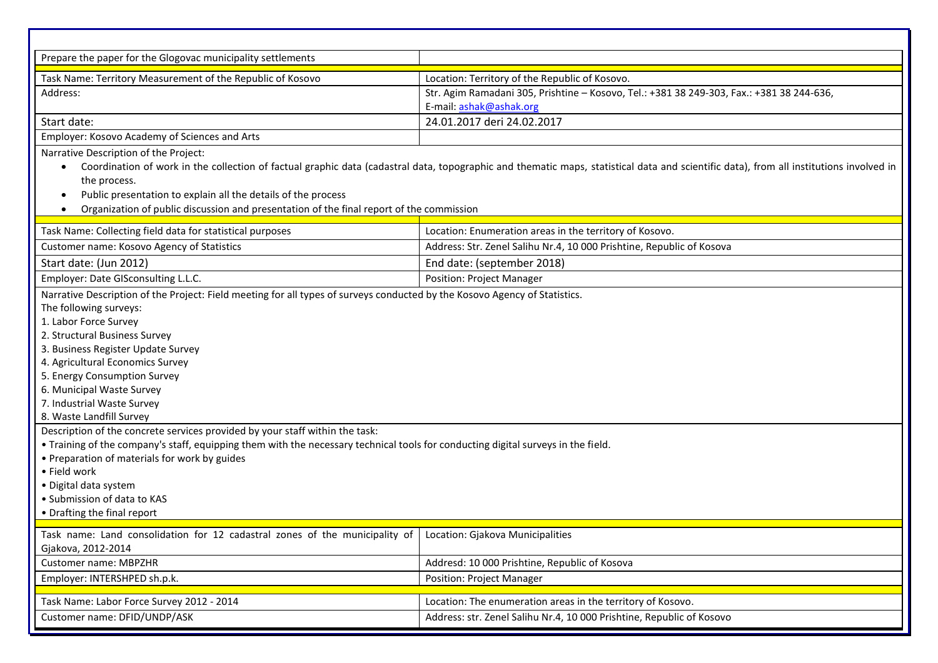| Prepare the paper for the Glogovac municipality settlements                                                                                                                                                                                                                                                                                                                                                                                                                                                                                                                                                                                                                                                                                                                                  |                                                                                           |  |  |
|----------------------------------------------------------------------------------------------------------------------------------------------------------------------------------------------------------------------------------------------------------------------------------------------------------------------------------------------------------------------------------------------------------------------------------------------------------------------------------------------------------------------------------------------------------------------------------------------------------------------------------------------------------------------------------------------------------------------------------------------------------------------------------------------|-------------------------------------------------------------------------------------------|--|--|
| Task Name: Territory Measurement of the Republic of Kosovo                                                                                                                                                                                                                                                                                                                                                                                                                                                                                                                                                                                                                                                                                                                                   | Location: Territory of the Republic of Kosovo.                                            |  |  |
| Address:                                                                                                                                                                                                                                                                                                                                                                                                                                                                                                                                                                                                                                                                                                                                                                                     | Str. Agim Ramadani 305, Prishtine - Kosovo, Tel.: +381 38 249-303, Fax.: +381 38 244-636, |  |  |
|                                                                                                                                                                                                                                                                                                                                                                                                                                                                                                                                                                                                                                                                                                                                                                                              | E-mail: ashak@ashak.org                                                                   |  |  |
| Start date:                                                                                                                                                                                                                                                                                                                                                                                                                                                                                                                                                                                                                                                                                                                                                                                  | 24.01.2017 deri 24.02.2017                                                                |  |  |
| Employer: Kosovo Academy of Sciences and Arts                                                                                                                                                                                                                                                                                                                                                                                                                                                                                                                                                                                                                                                                                                                                                |                                                                                           |  |  |
| Narrative Description of the Project:<br>Coordination of work in the collection of factual graphic data (cadastral data, topographic and thematic maps, statistical data and scientific data), from all institutions involved in<br>$\bullet$<br>the process.<br>Public presentation to explain all the details of the process<br>$\bullet$<br>Organization of public discussion and presentation of the final report of the commission<br>$\bullet$                                                                                                                                                                                                                                                                                                                                         |                                                                                           |  |  |
| Task Name: Collecting field data for statistical purposes                                                                                                                                                                                                                                                                                                                                                                                                                                                                                                                                                                                                                                                                                                                                    | Location: Enumeration areas in the territory of Kosovo.                                   |  |  |
| Customer name: Kosovo Agency of Statistics                                                                                                                                                                                                                                                                                                                                                                                                                                                                                                                                                                                                                                                                                                                                                   | Address: Str. Zenel Salihu Nr.4, 10 000 Prishtine, Republic of Kosova                     |  |  |
| Start date: (Jun 2012)<br>End date: (september 2018)                                                                                                                                                                                                                                                                                                                                                                                                                                                                                                                                                                                                                                                                                                                                         |                                                                                           |  |  |
| Employer: Date GISconsulting L.L.C.                                                                                                                                                                                                                                                                                                                                                                                                                                                                                                                                                                                                                                                                                                                                                          | <b>Position: Project Manager</b>                                                          |  |  |
| Narrative Description of the Project: Field meeting for all types of surveys conducted by the Kosovo Agency of Statistics.<br>The following surveys:<br>1. Labor Force Survey<br>2. Structural Business Survey<br>3. Business Register Update Survey<br>4. Agricultural Economics Survey<br>5. Energy Consumption Survey<br>6. Municipal Waste Survey<br>7. Industrial Waste Survey<br>8. Waste Landfill Survey<br>Description of the concrete services provided by your staff within the task:<br>• Training of the company's staff, equipping them with the necessary technical tools for conducting digital surveys in the field.<br>• Preparation of materials for work by guides<br>• Field work<br>· Digital data system<br>• Submission of data to KAS<br>• Drafting the final report |                                                                                           |  |  |
| Task name: Land consolidation for 12 cadastral zones of the municipality of                                                                                                                                                                                                                                                                                                                                                                                                                                                                                                                                                                                                                                                                                                                  | Location: Gjakova Municipalities                                                          |  |  |
| Gjakova, 2012-2014                                                                                                                                                                                                                                                                                                                                                                                                                                                                                                                                                                                                                                                                                                                                                                           |                                                                                           |  |  |
| Customer name: MBPZHR                                                                                                                                                                                                                                                                                                                                                                                                                                                                                                                                                                                                                                                                                                                                                                        | Addresd: 10 000 Prishtine, Republic of Kosova                                             |  |  |
| Employer: INTERSHPED sh.p.k.                                                                                                                                                                                                                                                                                                                                                                                                                                                                                                                                                                                                                                                                                                                                                                 | <b>Position: Project Manager</b>                                                          |  |  |
| Task Name: Labor Force Survey 2012 - 2014                                                                                                                                                                                                                                                                                                                                                                                                                                                                                                                                                                                                                                                                                                                                                    | Location: The enumeration areas in the territory of Kosovo.                               |  |  |
| Customer name: DFID/UNDP/ASK                                                                                                                                                                                                                                                                                                                                                                                                                                                                                                                                                                                                                                                                                                                                                                 | Address: str. Zenel Salihu Nr.4, 10 000 Prishtine, Republic of Kosovo                     |  |  |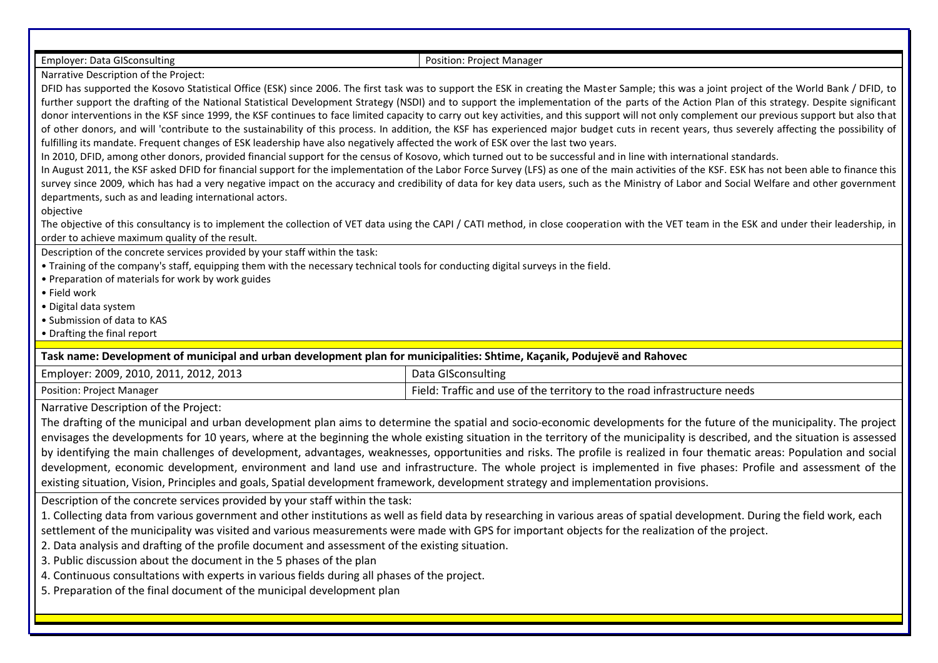Employer: Data GISconsulting Position: Project Manager

Narrative Description of the Project:

DFID has supported the Kosovo Statistical Office (ESK) since 2006. The first task was to support the ESK in creating the Master Sample; this was a joint project of the World Bank / DFID, to further support the drafting of the National Statistical Development Strategy (NSDI) and to support the implementation of the parts of the Action Plan of this strategy. Despite significant donor interventions in the KSF since 1999, the KSF continues to face limited capacity to carry out key activities, and this support will not only complement our previous support but also that of other donors, and will 'contribute to the sustainability of this process. In addition, the KSF has experienced major budget cuts in recent years, thus severely affecting the possibility of fulfilling its mandate. Frequent changes of ESK leadership have also negatively affected the work of ESK over the last two vears.

In 2010, DFID, among other donors, provided financial support for the census of Kosovo, which turned out to be successful and in line with international standards.

In August 2011, the KSF asked DFID for financial support for the implementation of the Labor Force Survey (LFS) as one of the main activities of the KSF. ESK has not been able to finance this survey since 2009, which has had a very negative impact on the accuracy and credibility of data for key data users, such as the Ministry of Labor and Social Welfare and other government departments, such as and leading international actors.

objective

The objective of this consultancy is to implement the collection of VET data using the CAPI / CATI method, in close cooperation with the VET team in the ESK and under their leadership, in order to achieve maximum quality of the result.

Description of the concrete services provided by your staff within the task:

- Training of the company's staff, equipping them with the necessary technical tools for conducting digital surveys in the field.
- Preparation of materials for work by work guides
- Field work
- Digital data system
- Submission of data to KAS
- Drafting the final report

**Task name: Development of municipal and urban development plan for municipalities: Shtime, Kaçanik, Podujevë and Rahovec**

| Employer: 2009, 2010, 2011, 2012, 2013 | Data GISconsulting                                                       |
|----------------------------------------|--------------------------------------------------------------------------|
| Position: Project Manager              | Field: Traffic and use of the territory to the road infrastructure needs |

Narrative Description of the Project:

The drafting of the municipal and urban development plan aims to determine the spatial and socio-economic developments for the future of the municipality. The project envisages the developments for 10 years, where at the beginning the whole existing situation in the territory of the municipality is described, and the situation is assessed by identifying the main challenges of development, advantages, weaknesses, opportunities and risks. The profile is realized in four thematic areas: Population and social development, economic development, environment and land use and infrastructure. The whole project is implemented in five phases: Profile and assessment of the existing situation, Vision, Principles and goals, Spatial development framework, development strategy and implementation provisions.

Description of the concrete services provided by your staff within the task:

1. Collecting data from various government and other institutions as well as field data by researching in various areas of spatial development. During the field work, each settlement of the municipality was visited and various measurements were made with GPS for important objects for the realization of the project.

- 2. Data analysis and drafting of the profile document and assessment of the existing situation.
- 3. Public discussion about the document in the 5 phases of the plan
- 4. Continuous consultations with experts in various fields during all phases of the project.
- 5. Preparation of the final document of the municipal development plan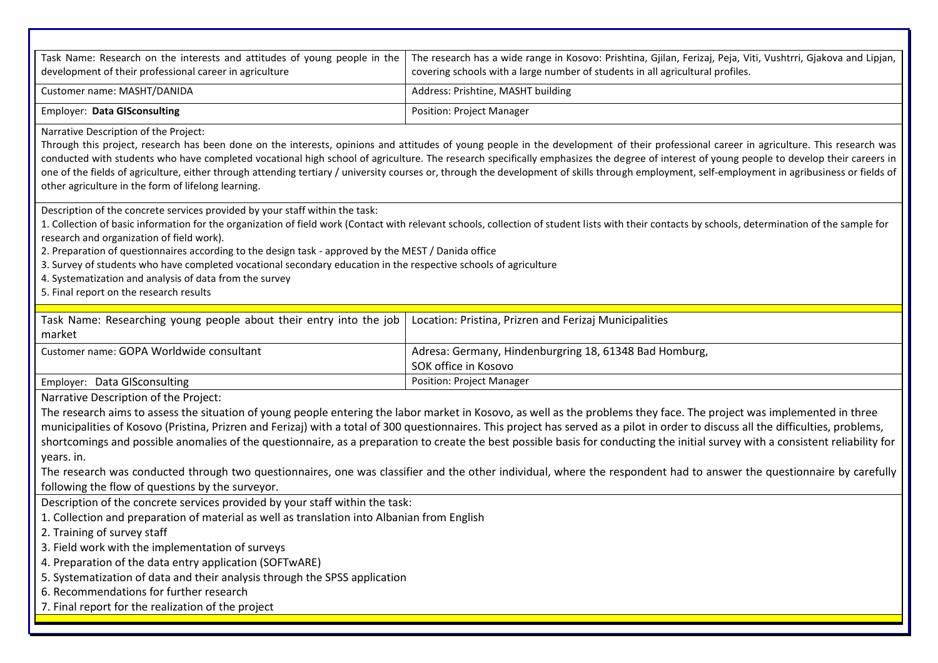| Task Name: Research on the interests and attitudes of young people in the<br>development of their professional career in agriculture                                                                                                                                                                                                                                                                                                                                                                                                                                                                                                                                                    | The research has a wide range in Kosovo: Prishtina, Gjilan, Ferizaj, Peja, Viti, Vushtrri, Gjakova and Lipjan,<br>covering schools with a large number of students in all agricultural profiles. |  |  |
|-----------------------------------------------------------------------------------------------------------------------------------------------------------------------------------------------------------------------------------------------------------------------------------------------------------------------------------------------------------------------------------------------------------------------------------------------------------------------------------------------------------------------------------------------------------------------------------------------------------------------------------------------------------------------------------------|--------------------------------------------------------------------------------------------------------------------------------------------------------------------------------------------------|--|--|
| Customer name: MASHT/DANIDA                                                                                                                                                                                                                                                                                                                                                                                                                                                                                                                                                                                                                                                             | Address: Prishtine, MASHT building                                                                                                                                                               |  |  |
| <b>Employer: Data GISconsulting</b>                                                                                                                                                                                                                                                                                                                                                                                                                                                                                                                                                                                                                                                     | <b>Position: Project Manager</b>                                                                                                                                                                 |  |  |
| Narrative Description of the Project:<br>Through this project, research has been done on the interests, opinions and attitudes of young people in the development of their professional career in agriculture. This research was<br>conducted with students who have completed vocational high school of agriculture. The research specifically emphasizes the degree of interest of young people to develop their careers in<br>one of the fields of agriculture, either through attending tertiary / university courses or, through the development of skills through employment, self-employment in agribusiness or fields of<br>other agriculture in the form of lifelong learning. |                                                                                                                                                                                                  |  |  |
| Description of the concrete services provided by your staff within the task:<br>1. Collection of basic information for the organization of field work (Contact with relevant schools, collection of student lists with their contacts by schools, determination of the sample for<br>research and organization of field work).<br>2. Preparation of questionnaires according to the design task - approved by the MEST / Danida office<br>3. Survey of students who have completed vocational secondary education in the respective schools of agriculture<br>4. Systematization and analysis of data from the survey<br>5. Final report on the research results                        |                                                                                                                                                                                                  |  |  |
| Task Name: Researching young people about their entry into the job<br>market                                                                                                                                                                                                                                                                                                                                                                                                                                                                                                                                                                                                            | Location: Pristina, Prizren and Ferizaj Municipalities                                                                                                                                           |  |  |
| Customer name: GOPA Worldwide consultant                                                                                                                                                                                                                                                                                                                                                                                                                                                                                                                                                                                                                                                | Adresa: Germany, Hindenburgring 18, 61348 Bad Homburg,<br>SOK office in Kosovo                                                                                                                   |  |  |
| Employer: Data GISconsulting                                                                                                                                                                                                                                                                                                                                                                                                                                                                                                                                                                                                                                                            | <b>Position: Project Manager</b>                                                                                                                                                                 |  |  |
| Narrative Description of the Project:<br>The research aims to assess the situation of young people entering the labor market in Kosovo, as well as the problems they face. The project was implemented in three<br>municipalities of Kosovo (Pristina, Prizren and Ferizaj) with a total of 300 questionnaires. This project has served as a pilot in order to discuss all the difficulties, problems,<br>shortcomings and possible anomalies of the questionnaire, as a preparation to create the best possible basis for conducting the initial survey with a consistent reliability for<br>years. in.                                                                                |                                                                                                                                                                                                  |  |  |
| The research was conducted through two questionnaires, one was classifier and the other individual, where the respondent had to answer the questionnaire by carefully<br>following the flow of questions by the surveyor.                                                                                                                                                                                                                                                                                                                                                                                                                                                               |                                                                                                                                                                                                  |  |  |
| Description of the concrete services provided by your staff within the task:<br>1. Collection and preparation of material as well as translation into Albanian from English<br>2. Training of survey staff<br>3. Field work with the implementation of surveys<br>4. Preparation of the data entry application (SOFTwARE)<br>5. Systematization of data and their analysis through the SPSS application<br>6. Recommendations for further research                                                                                                                                                                                                                                      |                                                                                                                                                                                                  |  |  |
| 7. Final report for the realization of the project                                                                                                                                                                                                                                                                                                                                                                                                                                                                                                                                                                                                                                      |                                                                                                                                                                                                  |  |  |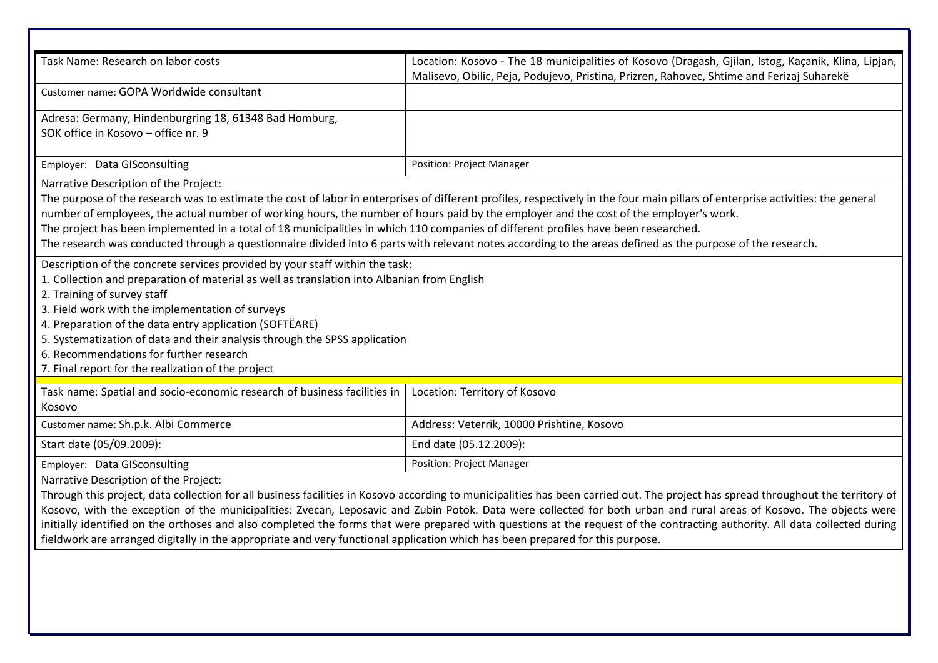| Task Name: Research on labor costs                                                                                                                                                                                                                                                                                                                                                                                                                                                                                                                                                                                                                                                                              | Location: Kosovo - The 18 municipalities of Kosovo (Dragash, Gjilan, Istog, Kaçanik, Klina, Lipjan,<br>Malisevo, Obilic, Peja, Podujevo, Pristina, Prizren, Rahovec, Shtime and Ferizaj Suharekë |  |  |
|-----------------------------------------------------------------------------------------------------------------------------------------------------------------------------------------------------------------------------------------------------------------------------------------------------------------------------------------------------------------------------------------------------------------------------------------------------------------------------------------------------------------------------------------------------------------------------------------------------------------------------------------------------------------------------------------------------------------|--------------------------------------------------------------------------------------------------------------------------------------------------------------------------------------------------|--|--|
| Customer name: GOPA Worldwide consultant                                                                                                                                                                                                                                                                                                                                                                                                                                                                                                                                                                                                                                                                        |                                                                                                                                                                                                  |  |  |
| Adresa: Germany, Hindenburgring 18, 61348 Bad Homburg,<br>SOK office in Kosovo - office nr. 9                                                                                                                                                                                                                                                                                                                                                                                                                                                                                                                                                                                                                   |                                                                                                                                                                                                  |  |  |
| Employer: Data GISconsulting                                                                                                                                                                                                                                                                                                                                                                                                                                                                                                                                                                                                                                                                                    | <b>Position: Project Manager</b>                                                                                                                                                                 |  |  |
| Narrative Description of the Project:<br>The purpose of the research was to estimate the cost of labor in enterprises of different profiles, respectively in the four main pillars of enterprise activities: the general<br>number of employees, the actual number of working hours, the number of hours paid by the employer and the cost of the employer's work.<br>The project has been implemented in a total of 18 municipalities in which 110 companies of different profiles have been researched.<br>The research was conducted through a questionnaire divided into 6 parts with relevant notes according to the areas defined as the purpose of the research.                                         |                                                                                                                                                                                                  |  |  |
| Description of the concrete services provided by your staff within the task:<br>1. Collection and preparation of material as well as translation into Albanian from English<br>2. Training of survey staff<br>3. Field work with the implementation of surveys<br>4. Preparation of the data entry application (SOFTËARE)<br>5. Systematization of data and their analysis through the SPSS application<br>6. Recommendations for further research<br>7. Final report for the realization of the project                                                                                                                                                                                                        |                                                                                                                                                                                                  |  |  |
| Task name: Spatial and socio-economic research of business facilities in<br>Kosovo                                                                                                                                                                                                                                                                                                                                                                                                                                                                                                                                                                                                                              | Location: Territory of Kosovo                                                                                                                                                                    |  |  |
| Customer name: Sh.p.k. Albi Commerce                                                                                                                                                                                                                                                                                                                                                                                                                                                                                                                                                                                                                                                                            | Address: Veterrik, 10000 Prishtine, Kosovo                                                                                                                                                       |  |  |
| Start date (05/09.2009):                                                                                                                                                                                                                                                                                                                                                                                                                                                                                                                                                                                                                                                                                        | End date (05.12.2009):                                                                                                                                                                           |  |  |
| Employer: Data GISconsulting                                                                                                                                                                                                                                                                                                                                                                                                                                                                                                                                                                                                                                                                                    | <b>Position: Project Manager</b>                                                                                                                                                                 |  |  |
| Narrative Description of the Project:<br>Through this project, data collection for all business facilities in Kosovo according to municipalities has been carried out. The project has spread throughout the territory of<br>Kosovo, with the exception of the municipalities: Zvecan, Leposavic and Zubin Potok. Data were collected for both urban and rural areas of Kosovo. The objects were<br>initially identified on the orthoses and also completed the forms that were prepared with questions at the request of the contracting authority. All data collected during<br>fieldwork are arranged digitally in the appropriate and very functional application which has been prepared for this purpose. |                                                                                                                                                                                                  |  |  |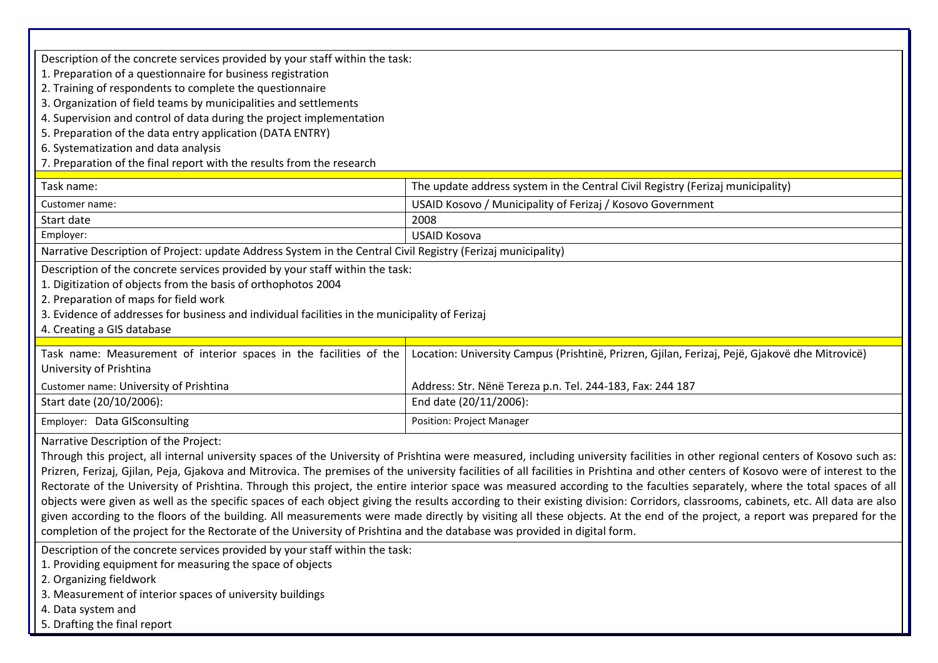| Description of the concrete services provided by your staff within the task:                                                                                                                                                                                                                                                                                                                                                                                                                                                                                                                                                                                                                                                                                                                                                                                                                                                                                                                                                                                                                                                                                                                                                                |                                                                                                |  |  |
|---------------------------------------------------------------------------------------------------------------------------------------------------------------------------------------------------------------------------------------------------------------------------------------------------------------------------------------------------------------------------------------------------------------------------------------------------------------------------------------------------------------------------------------------------------------------------------------------------------------------------------------------------------------------------------------------------------------------------------------------------------------------------------------------------------------------------------------------------------------------------------------------------------------------------------------------------------------------------------------------------------------------------------------------------------------------------------------------------------------------------------------------------------------------------------------------------------------------------------------------|------------------------------------------------------------------------------------------------|--|--|
| 1. Preparation of a questionnaire for business registration                                                                                                                                                                                                                                                                                                                                                                                                                                                                                                                                                                                                                                                                                                                                                                                                                                                                                                                                                                                                                                                                                                                                                                                 |                                                                                                |  |  |
| 2. Training of respondents to complete the questionnaire                                                                                                                                                                                                                                                                                                                                                                                                                                                                                                                                                                                                                                                                                                                                                                                                                                                                                                                                                                                                                                                                                                                                                                                    |                                                                                                |  |  |
| 3. Organization of field teams by municipalities and settlements                                                                                                                                                                                                                                                                                                                                                                                                                                                                                                                                                                                                                                                                                                                                                                                                                                                                                                                                                                                                                                                                                                                                                                            |                                                                                                |  |  |
| 4. Supervision and control of data during the project implementation                                                                                                                                                                                                                                                                                                                                                                                                                                                                                                                                                                                                                                                                                                                                                                                                                                                                                                                                                                                                                                                                                                                                                                        |                                                                                                |  |  |
| 5. Preparation of the data entry application (DATA ENTRY)                                                                                                                                                                                                                                                                                                                                                                                                                                                                                                                                                                                                                                                                                                                                                                                                                                                                                                                                                                                                                                                                                                                                                                                   |                                                                                                |  |  |
| 6. Systematization and data analysis                                                                                                                                                                                                                                                                                                                                                                                                                                                                                                                                                                                                                                                                                                                                                                                                                                                                                                                                                                                                                                                                                                                                                                                                        |                                                                                                |  |  |
| 7. Preparation of the final report with the results from the research                                                                                                                                                                                                                                                                                                                                                                                                                                                                                                                                                                                                                                                                                                                                                                                                                                                                                                                                                                                                                                                                                                                                                                       |                                                                                                |  |  |
| Task name:                                                                                                                                                                                                                                                                                                                                                                                                                                                                                                                                                                                                                                                                                                                                                                                                                                                                                                                                                                                                                                                                                                                                                                                                                                  | The update address system in the Central Civil Registry (Ferizaj municipality)                 |  |  |
| Customer name:                                                                                                                                                                                                                                                                                                                                                                                                                                                                                                                                                                                                                                                                                                                                                                                                                                                                                                                                                                                                                                                                                                                                                                                                                              | USAID Kosovo / Municipality of Ferizaj / Kosovo Government                                     |  |  |
| Start date                                                                                                                                                                                                                                                                                                                                                                                                                                                                                                                                                                                                                                                                                                                                                                                                                                                                                                                                                                                                                                                                                                                                                                                                                                  | 2008                                                                                           |  |  |
| Employer:                                                                                                                                                                                                                                                                                                                                                                                                                                                                                                                                                                                                                                                                                                                                                                                                                                                                                                                                                                                                                                                                                                                                                                                                                                   | <b>USAID Kosova</b>                                                                            |  |  |
| Narrative Description of Project: update Address System in the Central Civil Registry (Ferizaj municipality)                                                                                                                                                                                                                                                                                                                                                                                                                                                                                                                                                                                                                                                                                                                                                                                                                                                                                                                                                                                                                                                                                                                                |                                                                                                |  |  |
| Description of the concrete services provided by your staff within the task:<br>1. Digitization of objects from the basis of orthophotos 2004<br>2. Preparation of maps for field work<br>3. Evidence of addresses for business and individual facilities in the municipality of Ferizaj<br>4. Creating a GIS database                                                                                                                                                                                                                                                                                                                                                                                                                                                                                                                                                                                                                                                                                                                                                                                                                                                                                                                      |                                                                                                |  |  |
| Task name: Measurement of interior spaces in the facilities of the<br>University of Prishtina                                                                                                                                                                                                                                                                                                                                                                                                                                                                                                                                                                                                                                                                                                                                                                                                                                                                                                                                                                                                                                                                                                                                               | Location: University Campus (Prishtinë, Prizren, Gjilan, Ferizaj, Pejë, Gjakovë dhe Mitrovicë) |  |  |
| Customer name: University of Prishtina                                                                                                                                                                                                                                                                                                                                                                                                                                                                                                                                                                                                                                                                                                                                                                                                                                                                                                                                                                                                                                                                                                                                                                                                      | Address: Str. Nënë Tereza p.n. Tel. 244-183, Fax: 244 187                                      |  |  |
| Start date (20/10/2006):                                                                                                                                                                                                                                                                                                                                                                                                                                                                                                                                                                                                                                                                                                                                                                                                                                                                                                                                                                                                                                                                                                                                                                                                                    | End date (20/11/2006):                                                                         |  |  |
| <b>Position: Project Manager</b><br>Employer: Data GISconsulting                                                                                                                                                                                                                                                                                                                                                                                                                                                                                                                                                                                                                                                                                                                                                                                                                                                                                                                                                                                                                                                                                                                                                                            |                                                                                                |  |  |
| Narrative Description of the Project:<br>Through this project, all internal university spaces of the University of Prishtina were measured, including university facilities in other regional centers of Kosovo such as:<br>Prizren, Ferizaj, Gjilan, Peja, Gjakova and Mitrovica. The premises of the university facilities of all facilities in Prishtina and other centers of Kosovo were of interest to the<br>Rectorate of the University of Prishtina. Through this project, the entire interior space was measured according to the faculties separately, where the total spaces of all<br>objects were given as well as the specific spaces of each object giving the results according to their existing division: Corridors, classrooms, cabinets, etc. All data are also<br>given according to the floors of the building. All measurements were made directly by visiting all these objects. At the end of the project, a report was prepared for the<br>completion of the project for the Rectorate of the University of Prishtina and the database was provided in digital form.<br>Description of the concrete services provided by your staff within the task:<br>1. Providing equipment for measuring the space of objects |                                                                                                |  |  |

- 2. Organizing fieldwork
- 3. Measurement of interior spaces of university buildings
- 4. Data system and
- 5. Drafting the final report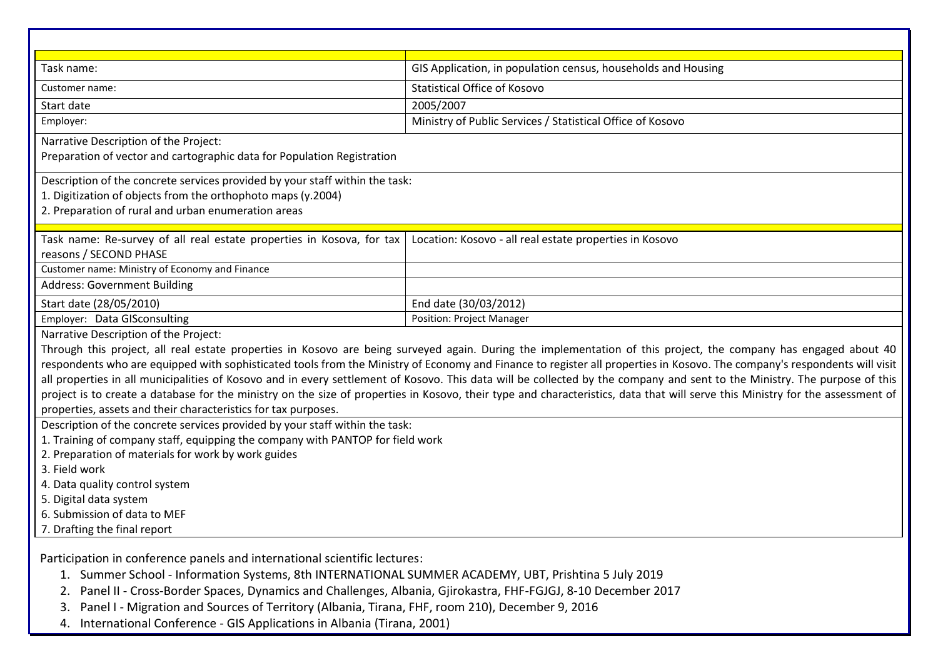| Task name:                                                                                                                                                                                          | GIS Application, in population census, households and Housing                                                                                                             |  |  |
|-----------------------------------------------------------------------------------------------------------------------------------------------------------------------------------------------------|---------------------------------------------------------------------------------------------------------------------------------------------------------------------------|--|--|
| Customer name:                                                                                                                                                                                      | <b>Statistical Office of Kosovo</b>                                                                                                                                       |  |  |
| Start date                                                                                                                                                                                          | 2005/2007                                                                                                                                                                 |  |  |
| Employer:                                                                                                                                                                                           | Ministry of Public Services / Statistical Office of Kosovo                                                                                                                |  |  |
| Narrative Description of the Project:<br>Preparation of vector and cartographic data for Population Registration                                                                                    |                                                                                                                                                                           |  |  |
| Description of the concrete services provided by your staff within the task:<br>1. Digitization of objects from the orthophoto maps (y.2004)<br>2. Preparation of rural and urban enumeration areas |                                                                                                                                                                           |  |  |
| Task name: Re-survey of all real estate properties in Kosova, for tax<br>reasons / SECOND PHASE                                                                                                     | Location: Kosovo - all real estate properties in Kosovo                                                                                                                   |  |  |
| Customer name: Ministry of Economy and Finance                                                                                                                                                      |                                                                                                                                                                           |  |  |
| <b>Address: Government Building</b>                                                                                                                                                                 |                                                                                                                                                                           |  |  |
| Start date (28/05/2010)                                                                                                                                                                             | End date (30/03/2012)                                                                                                                                                     |  |  |
| Employer: Data GISconsulting                                                                                                                                                                        | <b>Position: Project Manager</b>                                                                                                                                          |  |  |
| Narrative Description of the Project:                                                                                                                                                               |                                                                                                                                                                           |  |  |
|                                                                                                                                                                                                     | Through this project, all real estate properties in Kosovo are being surveyed again. During the implementation of this project, the company has engaged about 40          |  |  |
|                                                                                                                                                                                                     | respondents who are equipped with sophisticated tools from the Ministry of Economy and Finance to register all properties in Kosovo. The company's respondents will visit |  |  |
| all properties in all municipalities of Kosovo and in every settlement of Kosovo. This data will be collected by the company and sent to the Ministry. The purpose of this                          |                                                                                                                                                                           |  |  |
| project is to create a database for the ministry on the size of properties in Kosovo, their type and characteristics, data that will serve this Ministry for the assessment of                      |                                                                                                                                                                           |  |  |
| properties, assets and their characteristics for tax purposes.                                                                                                                                      |                                                                                                                                                                           |  |  |
| Description of the concrete services provided by your staff within the task:                                                                                                                        |                                                                                                                                                                           |  |  |
| 1. Training of company staff, equipping the company with PANTOP for field work                                                                                                                      |                                                                                                                                                                           |  |  |
| 2. Preparation of materials for work by work guides                                                                                                                                                 |                                                                                                                                                                           |  |  |
| 3. Field work                                                                                                                                                                                       |                                                                                                                                                                           |  |  |
| 4. Data quality control system                                                                                                                                                                      |                                                                                                                                                                           |  |  |
| 5. Digital data system                                                                                                                                                                              |                                                                                                                                                                           |  |  |
| 6. Submission of data to MEF                                                                                                                                                                        |                                                                                                                                                                           |  |  |
| 7. Drafting the final report                                                                                                                                                                        |                                                                                                                                                                           |  |  |
| Participation in conference panels and international scientific lectures:                                                                                                                           |                                                                                                                                                                           |  |  |

- 1. Summer School Information Systems, 8th INTERNATIONAL SUMMER ACADEMY, UBT, Prishtina 5 July 2019
- 2. Panel II Cross-Border Spaces, Dynamics and Challenges, Albania, Gjirokastra, FHF-FGJGJ, 8-10 December 2017
- 3. Panel I Migration and Sources of Territory (Albania, Tirana, FHF, room 210), December 9, 2016
- 4. International Conference GIS Applications in Albania (Tirana, 2001)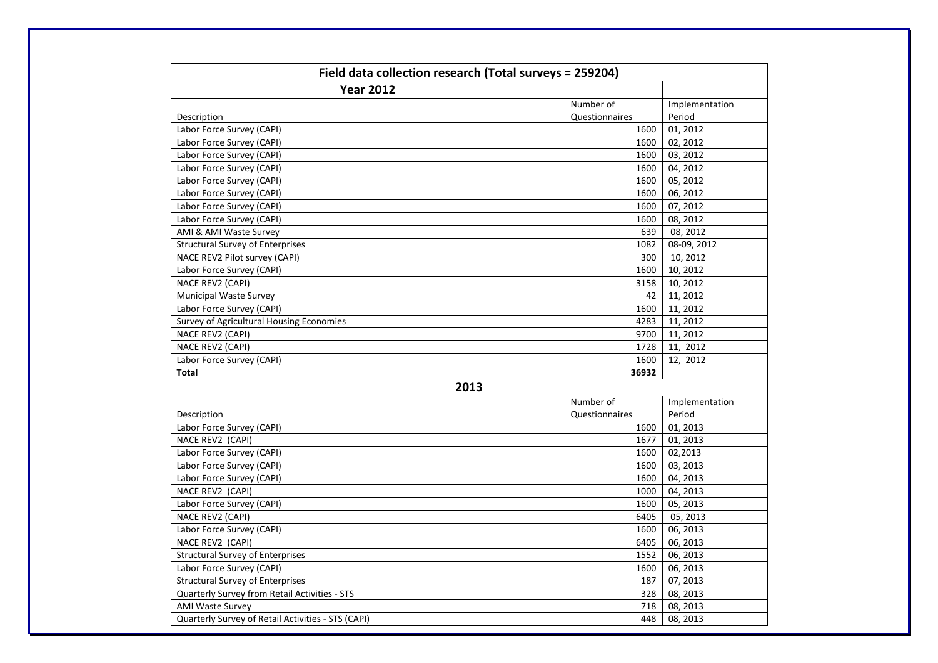| Field data collection research (Total surveys = 259204) |                |                |  |
|---------------------------------------------------------|----------------|----------------|--|
| <b>Year 2012</b>                                        |                |                |  |
|                                                         | Number of      | Implementation |  |
| Description                                             | Questionnaires | Period         |  |
| Labor Force Survey (CAPI)                               | 1600           | 01, 2012       |  |
| Labor Force Survey (CAPI)                               | 1600           | 02, 2012       |  |
| Labor Force Survey (CAPI)                               | 1600           | 03, 2012       |  |
| Labor Force Survey (CAPI)                               | 1600           | 04, 2012       |  |
| Labor Force Survey (CAPI)                               | 1600           | 05, 2012       |  |
| Labor Force Survey (CAPI)                               | 1600           | 06, 2012       |  |
| Labor Force Survey (CAPI)                               | 1600           | 07, 2012       |  |
| Labor Force Survey (CAPI)                               | 1600           | 08, 2012       |  |
| AMI & AMI Waste Survey                                  | 639            | 08, 2012       |  |
| <b>Structural Survey of Enterprises</b>                 | 1082           | 08-09, 2012    |  |
| NACE REV2 Pilot survey (CAPI)                           | 300            | 10, 2012       |  |
| Labor Force Survey (CAPI)                               | 1600           | 10, 2012       |  |
| NACE REV2 (CAPI)                                        | 3158           | 10, 2012       |  |
| <b>Municipal Waste Survey</b>                           | 42             | 11, 2012       |  |
| Labor Force Survey (CAPI)                               | 1600           | 11, 2012       |  |
| Survey of Agricultural Housing Economies                | 4283           | 11, 2012       |  |
| NACE REV2 (CAPI)                                        | 9700           | 11, 2012       |  |
| NACE REV2 (CAPI)                                        | 1728           | 11, 2012       |  |
| Labor Force Survey (CAPI)                               | 1600           | 12, 2012       |  |
| Total                                                   | 36932          |                |  |
| 2013                                                    |                |                |  |
|                                                         | Number of      | Implementation |  |
| Description                                             | Questionnaires | Period         |  |
| Labor Force Survey (CAPI)                               | 1600           | 01, 2013       |  |
| NACE REV2 (CAPI)                                        | 1677           | 01, 2013       |  |
| Labor Force Survey (CAPI)                               | 1600           | 02,2013        |  |
| Labor Force Survey (CAPI)                               | 1600           | 03, 2013       |  |
| Labor Force Survey (CAPI)                               | 1600           | 04, 2013       |  |
| NACE REV2 (CAPI)                                        | 1000           | 04, 2013       |  |
| Labor Force Survey (CAPI)                               | 1600           | 05, 2013       |  |
| NACE REV2 (CAPI)                                        | 6405           | 05, 2013       |  |
| Labor Force Survey (CAPI)                               | 1600           | 06, 2013       |  |
| NACE REV2 (CAPI)                                        | 6405           | 06, 2013       |  |
| <b>Structural Survey of Enterprises</b>                 | 1552           | 06, 2013       |  |
| Labor Force Survey (CAPI)                               | 1600           | 06, 2013       |  |
| <b>Structural Survey of Enterprises</b>                 | 187            | 07, 2013       |  |
| Quarterly Survey from Retail Activities - STS           | 328            | 08, 2013       |  |
| <b>AMI Waste Survey</b>                                 | 718            | 08, 2013       |  |
| Quarterly Survey of Retail Activities - STS (CAPI)      | 448            | 08, 2013       |  |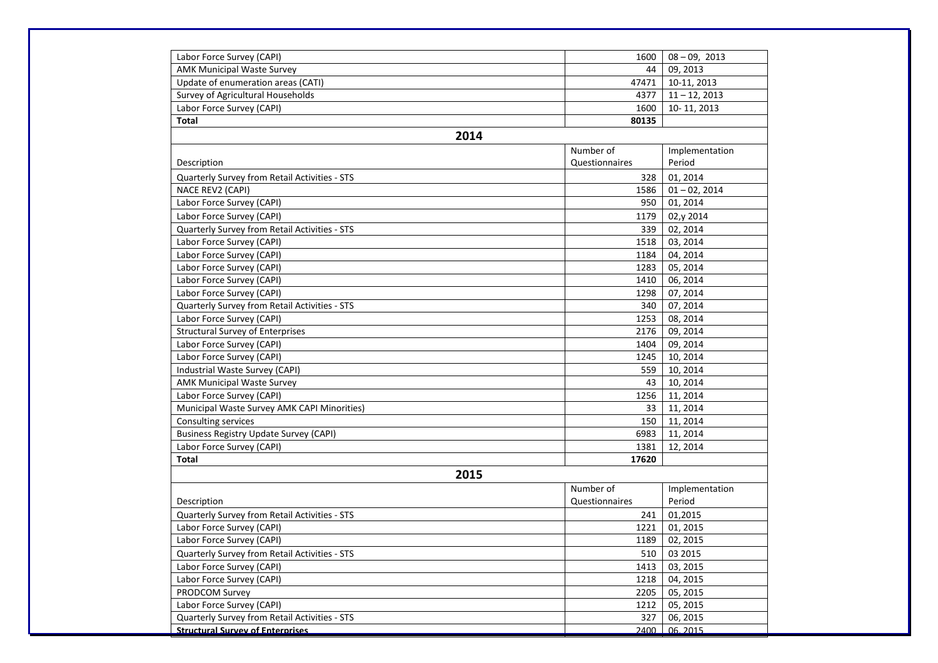| Labor Force Survey (CAPI)                     | 1600           | $08 - 09, 2013$ |
|-----------------------------------------------|----------------|-----------------|
| <b>AMK Municipal Waste Survey</b>             | 44             | 09, 2013        |
| Update of enumeration areas (CATI)            | 47471          | 10-11, 2013     |
| Survey of Agricultural Households             | 4377           | $11 - 12, 2013$ |
| Labor Force Survey (CAPI)                     | 1600           | 10-11, 2013     |
| <b>Total</b>                                  | 80135          |                 |
| 2014                                          |                |                 |
|                                               | Number of      | Implementation  |
| Description                                   | Questionnaires | Period          |
| Quarterly Survey from Retail Activities - STS | 328            | 01, 2014        |
| NACE REV2 (CAPI)                              | 1586           | $01 - 02, 2014$ |
| Labor Force Survey (CAPI)                     | 950            | 01, 2014        |
| Labor Force Survey (CAPI)                     | 1179           | 02,y 2014       |
| Quarterly Survey from Retail Activities - STS | 339            | 02, 2014        |
| Labor Force Survey (CAPI)                     | 1518           | 03, 2014        |
| Labor Force Survey (CAPI)                     | 1184           | 04, 2014        |
| Labor Force Survey (CAPI)                     | 1283           | 05, 2014        |
| Labor Force Survey (CAPI)                     | 1410           | 06, 2014        |
| Labor Force Survey (CAPI)                     | 1298           | 07, 2014        |
| Quarterly Survey from Retail Activities - STS | 340            | 07, 2014        |
| Labor Force Survey (CAPI)                     | 1253           | 08, 2014        |
| <b>Structural Survey of Enterprises</b>       | 2176           | 09, 2014        |
| Labor Force Survey (CAPI)                     | 1404           | 09, 2014        |
| Labor Force Survey (CAPI)                     | 1245           | 10, 2014        |
| Industrial Waste Survey (CAPI)                | 559            | 10, 2014        |
| <b>AMK Municipal Waste Survey</b>             | 43             | 10, 2014        |
| Labor Force Survey (CAPI)                     | 1256           | 11, 2014        |
| Municipal Waste Survey AMK CAPI Minorities)   | 33             | 11, 2014        |
| Consulting services                           | 150            | 11, 2014        |
| <b>Business Registry Update Survey (CAPI)</b> | 6983           | 11, 2014        |
| Labor Force Survey (CAPI)                     | 1381           | 12, 2014        |
| <b>Total</b>                                  | 17620          |                 |
| 2015                                          |                |                 |
|                                               | Number of      | Implementation  |
| Description                                   | Questionnaires | Period          |
| Quarterly Survey from Retail Activities - STS | 241            | 01,2015         |
| Labor Force Survey (CAPI)                     | 1221           | 01, 2015        |
| Labor Force Survey (CAPI)                     | 1189           | 02, 2015        |
| Quarterly Survey from Retail Activities - STS | 510            | 03 2015         |
| Labor Force Survey (CAPI)                     | 1413           | 03, 2015        |
| Labor Force Survey (CAPI)                     | 1218           | 04, 2015        |
| PRODCOM Survey                                | 2205           | 05, 2015        |
| Labor Force Survey (CAPI)                     | 1212           | 05, 2015        |
| Quarterly Survey from Retail Activities - STS | 327            | 06, 2015        |
| <b>Structural Survey of Enterprises</b>       | 2400           | 06.2015         |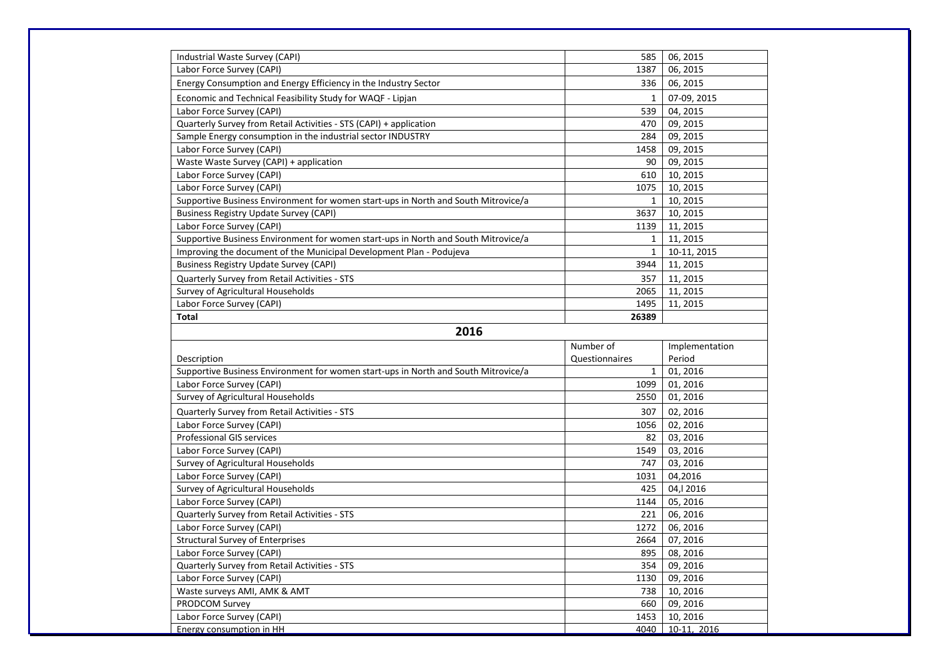| Industrial Waste Survey (CAPI)                                                     | 585                  | 06, 2015            |  |  |
|------------------------------------------------------------------------------------|----------------------|---------------------|--|--|
| Labor Force Survey (CAPI)                                                          | 1387                 | 06, 2015            |  |  |
| Energy Consumption and Energy Efficiency in the Industry Sector                    | 336                  | 06, 2015            |  |  |
| Economic and Technical Feasibility Study for WAQF - Lipjan                         | $\mathbf{1}$         | 07-09, 2015         |  |  |
| Labor Force Survey (CAPI)                                                          | 539                  | 04, 2015            |  |  |
| Quarterly Survey from Retail Activities - STS (CAPI) + application                 | 470                  | 09, 2015            |  |  |
| Sample Energy consumption in the industrial sector INDUSTRY                        | 284                  | 09, 2015            |  |  |
| Labor Force Survey (CAPI)                                                          | 1458                 | 09, 2015            |  |  |
| Waste Waste Survey (CAPI) + application                                            | 90                   | 09, 2015            |  |  |
| Labor Force Survey (CAPI)                                                          | 610                  | 10, 2015            |  |  |
| Labor Force Survey (CAPI)                                                          | 1075                 | 10, 2015            |  |  |
| Supportive Business Environment for women start-ups in North and South Mitrovice/a | $\mathbf{1}$         | 10, 2015            |  |  |
| <b>Business Registry Update Survey (CAPI)</b>                                      | 3637                 | 10, 2015            |  |  |
| Labor Force Survey (CAPI)                                                          | 1139                 | 11, 2015            |  |  |
| Supportive Business Environment for women start-ups in North and South Mitrovice/a | $\mathbf{1}$         | 11, 2015            |  |  |
| Improving the document of the Municipal Development Plan - Podujeva                | $\mathbf{1}$         | 10-11, 2015         |  |  |
| <b>Business Registry Update Survey (CAPI)</b>                                      | 3944                 | 11, 2015            |  |  |
| Quarterly Survey from Retail Activities - STS                                      | 357                  | 11, 2015            |  |  |
| Survey of Agricultural Households                                                  | 2065                 | 11, 2015            |  |  |
| Labor Force Survey (CAPI)                                                          | 1495                 | 11, 2015            |  |  |
| <b>Total</b>                                                                       | 26389                |                     |  |  |
|                                                                                    |                      |                     |  |  |
|                                                                                    |                      |                     |  |  |
| 2016                                                                               |                      |                     |  |  |
|                                                                                    | Number of            | Implementation      |  |  |
| Description                                                                        | Questionnaires       | Period              |  |  |
| Supportive Business Environment for women start-ups in North and South Mitrovice/a | $\mathbf{1}$<br>1099 | 01, 2016            |  |  |
| Labor Force Survey (CAPI)                                                          | 2550                 | 01, 2016            |  |  |
| Survey of Agricultural Households                                                  |                      | 01, 2016            |  |  |
| Quarterly Survey from Retail Activities - STS                                      | 307                  | 02, 2016            |  |  |
| Labor Force Survey (CAPI)                                                          | 1056<br>82           | 02, 2016            |  |  |
| Professional GIS services                                                          | 1549                 | 03, 2016            |  |  |
| Labor Force Survey (CAPI)                                                          | 747                  | 03, 2016            |  |  |
| Survey of Agricultural Households                                                  | 1031                 | 03, 2016            |  |  |
| Labor Force Survey (CAPI)                                                          | 425                  | 04,2016<br>04, 2016 |  |  |
| Survey of Agricultural Households<br>Labor Force Survey (CAPI)                     | 1144                 | 05, 2016            |  |  |
| Quarterly Survey from Retail Activities - STS                                      | 221                  | 06, 2016            |  |  |
| Labor Force Survey (CAPI)                                                          | 1272                 | 06, 2016            |  |  |
| <b>Structural Survey of Enterprises</b>                                            | 2664                 | 07, 2016            |  |  |
| Labor Force Survey (CAPI)                                                          | 895                  | 08, 2016            |  |  |
| Quarterly Survey from Retail Activities - STS                                      | 354                  | 09, 2016            |  |  |
| Labor Force Survey (CAPI)                                                          | 1130                 | 09, 2016            |  |  |
| Waste surveys AMI, AMK & AMT                                                       | 738                  | 10, 2016            |  |  |
| PRODCOM Survey                                                                     | 660                  | 09, 2016            |  |  |
| Labor Force Survey (CAPI)                                                          | 1453                 | 10, 2016            |  |  |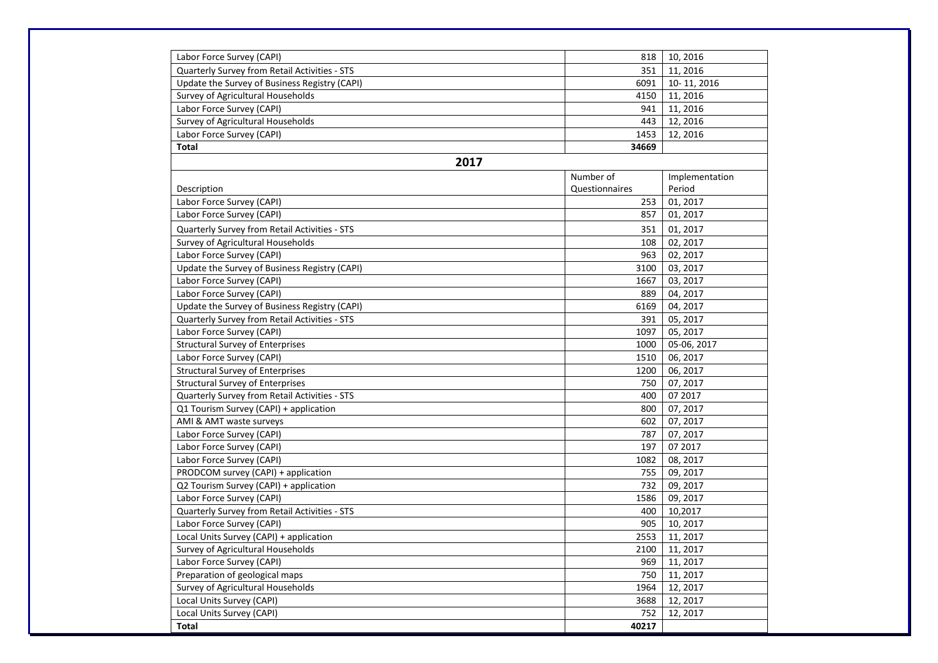| Labor Force Survey (CAPI)                     | 818            | 10, 2016       |
|-----------------------------------------------|----------------|----------------|
| Quarterly Survey from Retail Activities - STS | 351            | 11, 2016       |
| Update the Survey of Business Registry (CAPI) | 6091           | 10-11, 2016    |
| Survey of Agricultural Households             | 4150           | 11, 2016       |
| Labor Force Survey (CAPI)                     | 941            | 11, 2016       |
| Survey of Agricultural Households             | 443            | 12, 2016       |
| Labor Force Survey (CAPI)                     | 1453           | 12, 2016       |
| <b>Total</b>                                  | 34669          |                |
| 2017                                          |                |                |
|                                               | Number of      | Implementation |
| Description                                   | Questionnaires | Period         |
| Labor Force Survey (CAPI)                     | 253            | 01, 2017       |
| Labor Force Survey (CAPI)                     | 857            | 01, 2017       |
| Quarterly Survey from Retail Activities - STS | 351            | 01, 2017       |
| Survey of Agricultural Households             | 108            | 02, 2017       |
| Labor Force Survey (CAPI)                     | 963            | 02, 2017       |
| Update the Survey of Business Registry (CAPI) | 3100           | 03, 2017       |
| Labor Force Survey (CAPI)                     | 1667           | 03, 2017       |
| Labor Force Survey (CAPI)                     | 889            | 04, 2017       |
| Update the Survey of Business Registry (CAPI) | 6169           | 04, 2017       |
| Quarterly Survey from Retail Activities - STS | 391            | 05, 2017       |
| Labor Force Survey (CAPI)                     | 1097           | 05, 2017       |
| <b>Structural Survey of Enterprises</b>       | 1000           | 05-06, 2017    |
| Labor Force Survey (CAPI)                     | 1510           | 06, 2017       |
| <b>Structural Survey of Enterprises</b>       | 1200           | 06, 2017       |
| <b>Structural Survey of Enterprises</b>       | 750            | 07, 2017       |
| Quarterly Survey from Retail Activities - STS | 400            | 07 2017        |
| Q1 Tourism Survey (CAPI) + application        | 800            | 07, 2017       |
| AMI & AMT waste surveys                       | 602            | 07, 2017       |
| Labor Force Survey (CAPI)                     | 787            | 07, 2017       |
| Labor Force Survey (CAPI)                     | 197            | 07 2017        |
| Labor Force Survey (CAPI)                     | 1082           | 08, 2017       |
| PRODCOM survey (CAPI) + application           | 755            | 09, 2017       |
| Q2 Tourism Survey (CAPI) + application        | 732            | 09, 2017       |
| Labor Force Survey (CAPI)                     | 1586           | 09, 2017       |
| Quarterly Survey from Retail Activities - STS | 400            | 10,2017        |
| Labor Force Survey (CAPI)                     | 905            | 10, 2017       |
| Local Units Survey (CAPI) + application       | 2553           | 11, 2017       |
| Survey of Agricultural Households             | 2100           | 11, 2017       |
| Labor Force Survey (CAPI)                     | 969            | 11, 2017       |
| Preparation of geological maps                | 750            | 11, 2017       |
| Survey of Agricultural Households             | 1964           | 12, 2017       |
| Local Units Survey (CAPI)                     | 3688           | 12, 2017       |
| Local Units Survey (CAPI)                     | 752            | 12, 2017       |
| Total                                         | 40217          |                |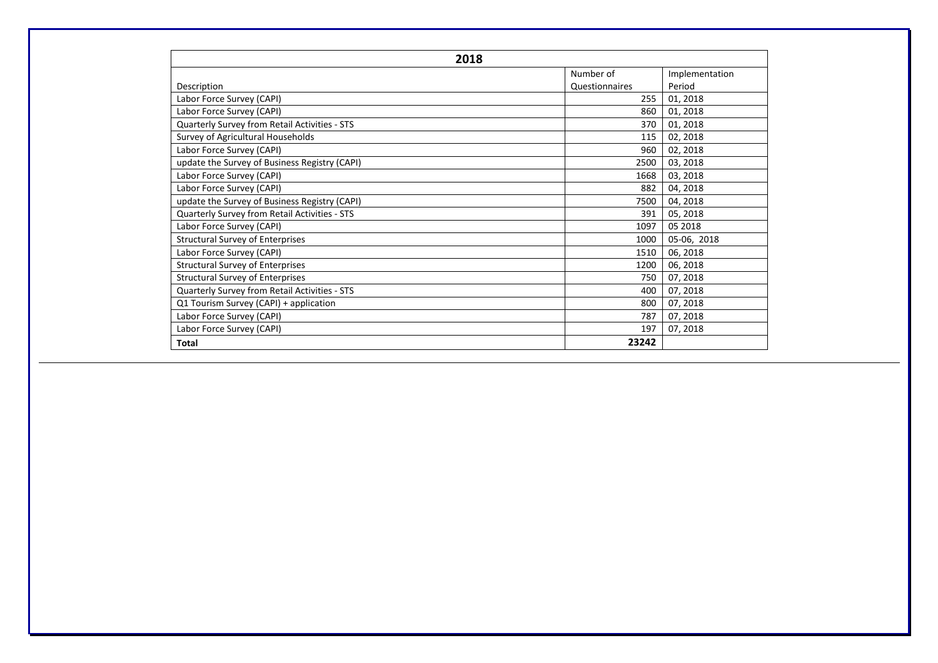| 2018                                          |                |                |
|-----------------------------------------------|----------------|----------------|
|                                               | Number of      | Implementation |
| Description                                   | Questionnaires | Period         |
| Labor Force Survey (CAPI)                     | 255            | 01, 2018       |
| Labor Force Survey (CAPI)                     | 860            | 01, 2018       |
| Quarterly Survey from Retail Activities - STS | 370            | 01, 2018       |
| Survey of Agricultural Households             | 115            | 02, 2018       |
| Labor Force Survey (CAPI)                     | 960            | 02, 2018       |
| update the Survey of Business Registry (CAPI) | 2500           | 03, 2018       |
| Labor Force Survey (CAPI)                     | 1668           | 03, 2018       |
| Labor Force Survey (CAPI)                     | 882            | 04, 2018       |
| update the Survey of Business Registry (CAPI) | 7500           | 04, 2018       |
| Quarterly Survey from Retail Activities - STS | 391            | 05, 2018       |
| Labor Force Survey (CAPI)                     | 1097           | 05 2018        |
| <b>Structural Survey of Enterprises</b>       | 1000           | 05-06, 2018    |
| Labor Force Survey (CAPI)                     | 1510           | 06, 2018       |
| <b>Structural Survey of Enterprises</b>       | 1200           | 06, 2018       |
| <b>Structural Survey of Enterprises</b>       | 750            | 07, 2018       |
| Quarterly Survey from Retail Activities - STS | 400            | 07, 2018       |
| Q1 Tourism Survey (CAPI) + application        | 800            | 07, 2018       |
| Labor Force Survey (CAPI)                     | 787            | 07, 2018       |
| Labor Force Survey (CAPI)                     | 197            | 07, 2018       |
| Total                                         | 23242          |                |